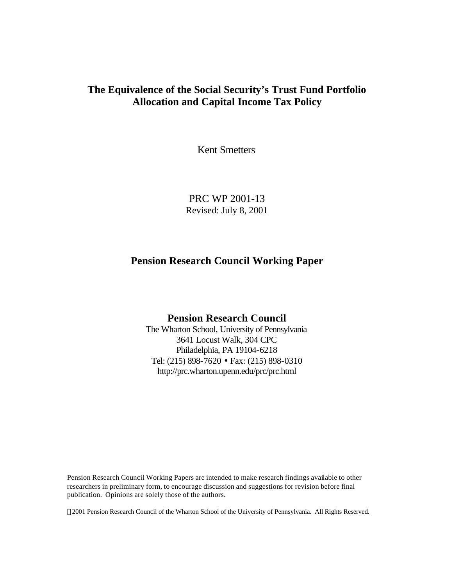# **The Equivalence of the Social Security's Trust Fund Portfolio Allocation and Capital Income Tax Policy**

Kent Smetters

PRC WP 2001-13 Revised: July 8, 2001

# **Pension Research Council Working Paper**

# **Pension Research Council**

The Wharton School, University of Pennsylvania 3641 Locust Walk, 304 CPC Philadelphia, PA 19104-6218 Tel: (215) 898-7620 • Fax: (215) 898-0310 http://prc.wharton.upenn.edu/prc/prc.html

Pension Research Council Working Papers are intended to make research findings available to other researchers in preliminary form, to encourage discussion and suggestions for revision before final publication. Opinions are solely those of the authors.

2001 Pension Research Council of the Wharton School of the University of Pennsylvania. All Rights Reserved.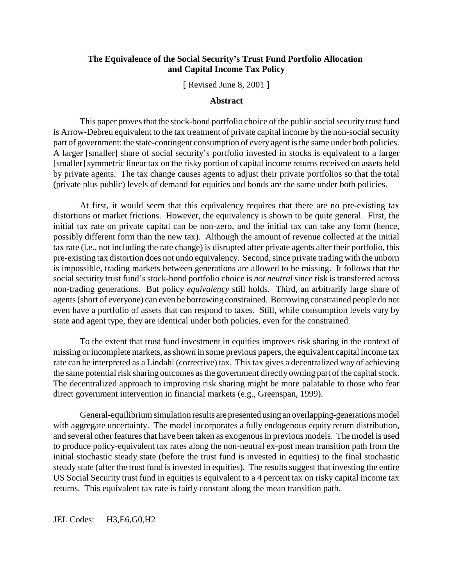# **The Equivalence of the Social Security's Trust Fund Portfolio Allocation and Capital Income Tax Policy**

[ Revised June 8, 2001 ]

#### **Abstract**

This paper proves that the stock-bond portfolio choice of the public social security trust fund is Arrow-Debreu equivalent to the tax treatment of private capital income by the non-social security part of government: the state-contingent consumption of every agent is the same under both policies. A larger [smaller] share of social security's portfolio invested in stocks is equivalent to a larger [smaller] symmetric linear tax on the risky portion of capital income returns received on assets held by private agents. The tax change causes agents to adjust their private portfolios so that the total (private plus public) levels of demand for equities and bonds are the same under both policies.

At first, it would seem that this equivalency requires that there are no pre-existing tax distortions or market frictions. However, the equivalency is shown to be quite general. First, the initial tax rate on private capital can be non-zero, and the initial tax can take any form (hence, possibly different form than the new tax). Although the amount of revenue collected at the initial tax rate (i.e., not including the rate change) is disrupted after private agents alter their portfolio, this pre-existing tax distortion does not undo equivalency. Second, since private trading with the unborn is impossible, trading markets between generations are allowed to be missing. It follows that the social security trust fund's stock-bond portfolio choice is *not neutral* since risk is transferred across non-trading generations. But policy *equivalency* still holds. Third, an arbitrarily large share of agents (short of everyone) can even be borrowing constrained. Borrowing constrained people do not even have a portfolio of assets that can respond to taxes. Still, while consumption levels vary by state and agent type, they are identical under both policies, even for the constrained.

To the extent that trust fund investment in equities improves risk sharing in the context of missing or incomplete markets, as shown in some previous papers, the equivalent capital income tax rate can be interpreted as a Lindahl (corrective) tax. This tax gives a decentralized way of achieving the same potential risk sharing outcomes as the government directly owning part of the capital stock. The decentralized approach to improving risk sharing might be more palatable to those who fear direct government intervention in financial markets (e.g., Greenspan, 1999).

General-equilibrium simulation results are presented using an overlapping-generations model with aggregate uncertainty. The model incorporates a fully endogenous equity return distribution, and several other features that have been taken as exogenous in previous models. The model is used to produce policy-equivalent tax rates along the non-neutral ex-post mean transition path from the initial stochastic steady state (before the trust fund is invested in equities) to the final stochastic steady state (after the trust fund is invested in equities). The results suggest that investing the entire US Social Security trust fund in equities is equivalent to a 4 percent tax on risky capital income tax returns. This equivalent tax rate is fairly constant along the mean transition path.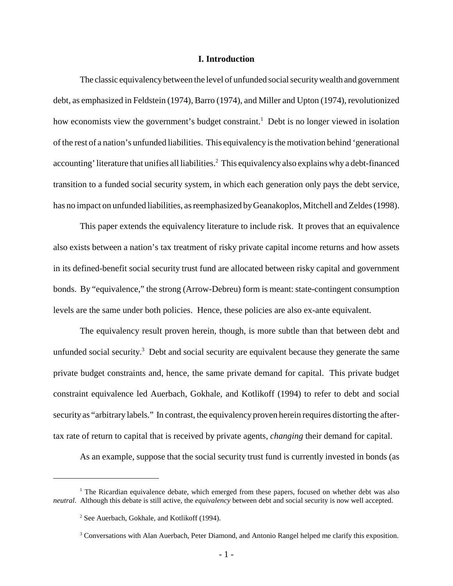#### **I. Introduction**

The classic equivalency between the level of unfunded social security wealth and government debt, as emphasized in Feldstein (1974), Barro (1974), and Miller and Upton (1974), revolutionized how economists view the government's budget constraint.<sup>1</sup> Debt is no longer viewed in isolation of the rest of a nation's unfunded liabilities. This equivalency is the motivation behind 'generational accounting' literature that unifies all liabilities.<sup>2</sup> This equivalency also explains why a debt-financed transition to a funded social security system, in which each generation only pays the debt service, has no impact on unfunded liabilities, as reemphasized by Geanakoplos, Mitchell and Zeldes (1998).

This paper extends the equivalency literature to include risk. It proves that an equivalence also exists between a nation's tax treatment of risky private capital income returns and how assets in its defined-benefit social security trust fund are allocated between risky capital and government bonds. By "equivalence," the strong (Arrow-Debreu) form is meant: state-contingent consumption levels are the same under both policies. Hence, these policies are also ex-ante equivalent.

The equivalency result proven herein, though, is more subtle than that between debt and unfunded social security.<sup>3</sup> Debt and social security are equivalent because they generate the same private budget constraints and, hence, the same private demand for capital. This private budget constraint equivalence led Auerbach, Gokhale, and Kotlikoff (1994) to refer to debt and social security as "arbitrary labels." In contrast, the equivalency proven herein requires distorting the aftertax rate of return to capital that is received by private agents, *changing* their demand for capital.

As an example, suppose that the social security trust fund is currently invested in bonds (as

<sup>&</sup>lt;sup>1</sup> The Ricardian equivalence debate, which emerged from these papers, focused on whether debt was also *neutral*. Although this debate is still active, the *equivalency* between debt and social security is now well accepted.

<sup>&</sup>lt;sup>2</sup> See Auerbach, Gokhale, and Kotlikoff (1994).

<sup>&</sup>lt;sup>3</sup> Conversations with Alan Auerbach, Peter Diamond, and Antonio Rangel helped me clarify this exposition.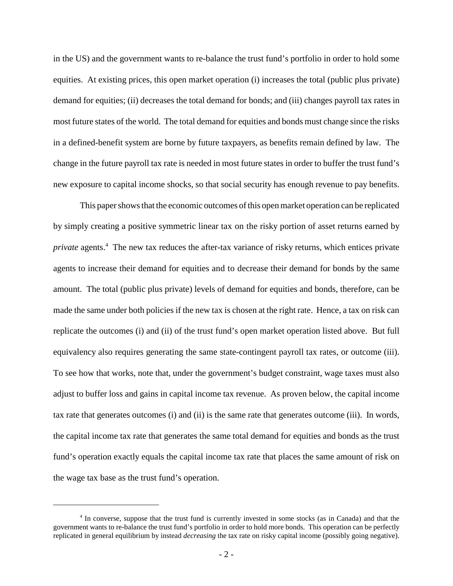in the US) and the government wants to re-balance the trust fund's portfolio in order to hold some equities. At existing prices, this open market operation (i) increases the total (public plus private) demand for equities; (ii) decreases the total demand for bonds; and (iii) changes payroll tax rates in most future states of the world. The total demand for equities and bonds must change since the risks in a defined-benefit system are borne by future taxpayers, as benefits remain defined by law. The change in the future payroll tax rate is needed in most future states in order to buffer the trust fund's new exposure to capital income shocks, so that social security has enough revenue to pay benefits.

This paper shows that the economic outcomes of this open market operation can be replicated by simply creating a positive symmetric linear tax on the risky portion of asset returns earned by *private* agents.<sup>4</sup> The new tax reduces the after-tax variance of risky returns, which entices private agents to increase their demand for equities and to decrease their demand for bonds by the same amount. The total (public plus private) levels of demand for equities and bonds, therefore, can be made the same under both policies if the new tax is chosen at the right rate. Hence, a tax on risk can replicate the outcomes (i) and (ii) of the trust fund's open market operation listed above. But full equivalency also requires generating the same state-contingent payroll tax rates, or outcome (iii). To see how that works, note that, under the government's budget constraint, wage taxes must also adjust to buffer loss and gains in capital income tax revenue. As proven below, the capital income tax rate that generates outcomes (i) and (ii) is the same rate that generates outcome (iii). In words, the capital income tax rate that generates the same total demand for equities and bonds as the trust fund's operation exactly equals the capital income tax rate that places the same amount of risk on the wage tax base as the trust fund's operation.

<sup>&</sup>lt;sup>4</sup> In converse, suppose that the trust fund is currently invested in some stocks (as in Canada) and that the government wants to re-balance the trust fund's portfolio in order to hold more bonds. This operation can be perfectly replicated in general equilibrium by instead *decreasing* the tax rate on risky capital income (possibly going negative).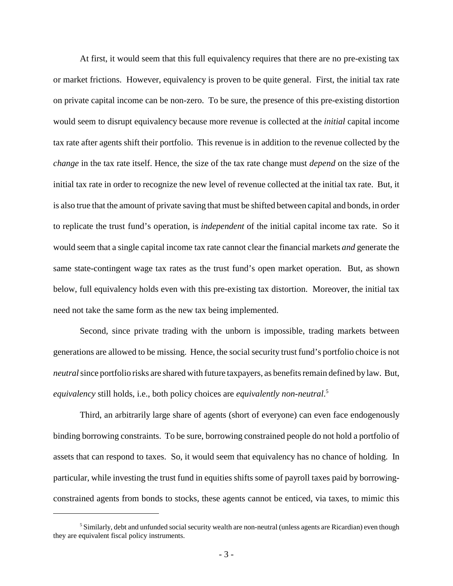At first, it would seem that this full equivalency requires that there are no pre-existing tax or market frictions. However, equivalency is proven to be quite general. First, the initial tax rate on private capital income can be non-zero. To be sure, the presence of this pre-existing distortion would seem to disrupt equivalency because more revenue is collected at the *initial* capital income tax rate after agents shift their portfolio. This revenue is in addition to the revenue collected by the *change* in the tax rate itself. Hence, the size of the tax rate change must *depend* on the size of the initial tax rate in order to recognize the new level of revenue collected at the initial tax rate. But, it is also true that the amount of private saving that must be shifted between capital and bonds, in order to replicate the trust fund's operation, is *independent* of the initial capital income tax rate. So it would seem that a single capital income tax rate cannot clear the financial markets *and* generate the same state-contingent wage tax rates as the trust fund's open market operation. But, as shown below, full equivalency holds even with this pre-existing tax distortion. Moreover, the initial tax need not take the same form as the new tax being implemented.

Second, since private trading with the unborn is impossible, trading markets between generations are allowed to be missing. Hence, the social security trust fund's portfolio choice is not *neutral* since portfolio risks are shared with future taxpayers, as benefits remain defined by law. But, *equivalency* still holds, i.e., both policy choices are *equivalently non-neutral*. 5

Third, an arbitrarily large share of agents (short of everyone) can even face endogenously binding borrowing constraints. To be sure, borrowing constrained people do not hold a portfolio of assets that can respond to taxes. So, it would seem that equivalency has no chance of holding. In particular, while investing the trust fund in equities shifts some of payroll taxes paid by borrowingconstrained agents from bonds to stocks, these agents cannot be enticed, via taxes, to mimic this

<sup>&</sup>lt;sup>5</sup> Similarly, debt and unfunded social security wealth are non-neutral (unless agents are Ricardian) even though they are equivalent fiscal policy instruments.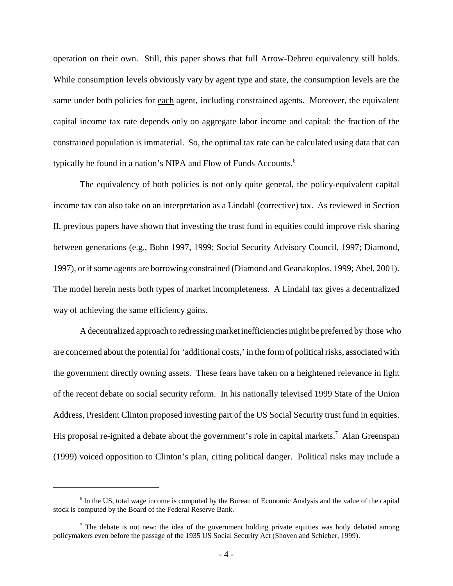operation on their own. Still, this paper shows that full Arrow-Debreu equivalency still holds. While consumption levels obviously vary by agent type and state, the consumption levels are the same under both policies for each agent, including constrained agents. Moreover, the equivalent capital income tax rate depends only on aggregate labor income and capital: the fraction of the constrained population is immaterial. So, the optimal tax rate can be calculated using data that can typically be found in a nation's NIPA and Flow of Funds Accounts.<sup>6</sup>

The equivalency of both policies is not only quite general, the policy-equivalent capital income tax can also take on an interpretation as a Lindahl (corrective) tax. As reviewed in Section II, previous papers have shown that investing the trust fund in equities could improve risk sharing between generations (e.g., Bohn 1997, 1999; Social Security Advisory Council, 1997; Diamond, 1997), or if some agents are borrowing constrained (Diamond and Geanakoplos, 1999; Abel, 2001). The model herein nests both types of market incompleteness. A Lindahl tax gives a decentralized way of achieving the same efficiency gains.

 A decentralized approach to redressing market inefficiencies might be preferred by those who are concerned about the potential for 'additional costs,' in the form of political risks, associated with the government directly owning assets. These fears have taken on a heightened relevance in light of the recent debate on social security reform. In his nationally televised 1999 State of the Union Address, President Clinton proposed investing part of the US Social Security trust fund in equities. His proposal re-ignited a debate about the government's role in capital markets.<sup>7</sup> Alan Greenspan (1999) voiced opposition to Clinton's plan, citing political danger. Political risks may include a

<sup>&</sup>lt;sup>6</sup> In the US, total wage income is computed by the Bureau of Economic Analysis and the value of the capital stock is computed by the Board of the Federal Reserve Bank.

 $<sup>7</sup>$  The debate is not new: the idea of the government holding private equities was hotly debated among</sup> policymakers even before the passage of the 1935 US Social Security Act (Shoven and Schieber, 1999).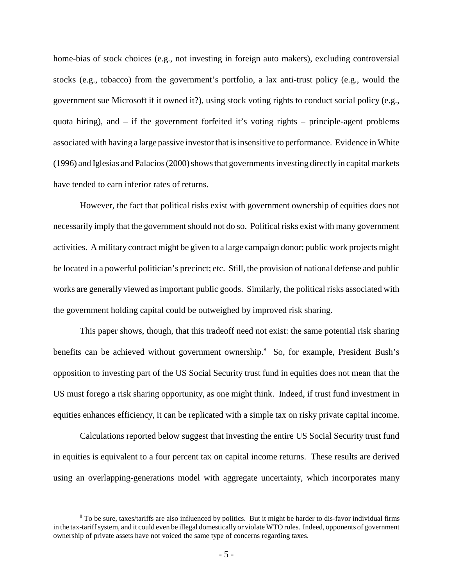home-bias of stock choices (e.g., not investing in foreign auto makers), excluding controversial stocks (e.g., tobacco) from the government's portfolio, a lax anti-trust policy (e.g., would the government sue Microsoft if it owned it?), using stock voting rights to conduct social policy (e.g., quota hiring), and – if the government forfeited it's voting rights – principle-agent problems associated with having a large passive investor that is insensitive to performance. Evidence in White (1996) and Iglesias and Palacios (2000) shows that governments investing directly in capital markets have tended to earn inferior rates of returns.

However, the fact that political risks exist with government ownership of equities does not necessarily imply that the government should not do so. Political risks exist with many government activities. A military contract might be given to a large campaign donor; public work projects might be located in a powerful politician's precinct; etc. Still, the provision of national defense and public works are generally viewed as important public goods. Similarly, the political risks associated with the government holding capital could be outweighed by improved risk sharing.

This paper shows, though, that this tradeoff need not exist: the same potential risk sharing benefits can be achieved without government ownership.<sup>8</sup> So, for example, President Bush's opposition to investing part of the US Social Security trust fund in equities does not mean that the US must forego a risk sharing opportunity, as one might think. Indeed, if trust fund investment in equities enhances efficiency, it can be replicated with a simple tax on risky private capital income.

Calculations reported below suggest that investing the entire US Social Security trust fund in equities is equivalent to a four percent tax on capital income returns. These results are derived using an overlapping-generations model with aggregate uncertainty, which incorporates many

<sup>&</sup>lt;sup>8</sup> To be sure, taxes/tariffs are also influenced by politics. But it might be harder to dis-favor individual firms in the tax-tariff system, and it could even be illegal domestically or violate WTO rules. Indeed, opponents of government ownership of private assets have not voiced the same type of concerns regarding taxes.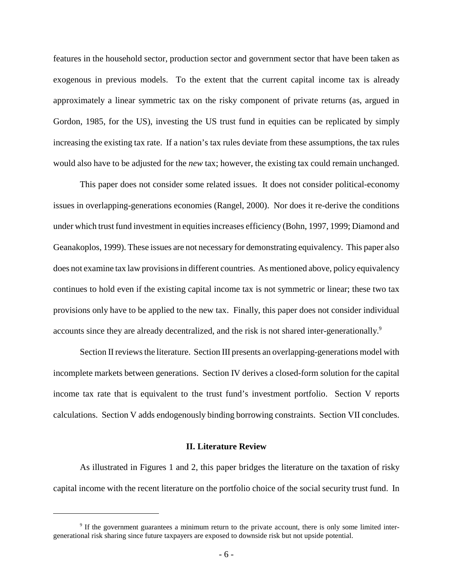features in the household sector, production sector and government sector that have been taken as exogenous in previous models. To the extent that the current capital income tax is already approximately a linear symmetric tax on the risky component of private returns (as, argued in Gordon, 1985, for the US), investing the US trust fund in equities can be replicated by simply increasing the existing tax rate. If a nation's tax rules deviate from these assumptions, the tax rules would also have to be adjusted for the *new* tax; however, the existing tax could remain unchanged.

This paper does not consider some related issues. It does not consider political-economy issues in overlapping-generations economies (Rangel, 2000). Nor does it re-derive the conditions under which trust fund investment in equities increases efficiency (Bohn, 1997, 1999; Diamond and Geanakoplos, 1999). These issues are not necessary for demonstrating equivalency. This paper also does not examine tax law provisions in different countries. As mentioned above, policy equivalency continues to hold even if the existing capital income tax is not symmetric or linear; these two tax provisions only have to be applied to the new tax. Finally, this paper does not consider individual accounts since they are already decentralized, and the risk is not shared inter-generationally.<sup>9</sup>

Section II reviews the literature. Section III presents an overlapping-generations model with incomplete markets between generations. Section IV derives a closed-form solution for the capital income tax rate that is equivalent to the trust fund's investment portfolio. Section V reports calculations. Section V adds endogenously binding borrowing constraints. Section VII concludes.

#### **II. Literature Review**

As illustrated in Figures 1 and 2, this paper bridges the literature on the taxation of risky capital income with the recent literature on the portfolio choice of the social security trust fund. In

<sup>&</sup>lt;sup>9</sup> If the government guarantees a minimum return to the private account, there is only some limited intergenerational risk sharing since future taxpayers are exposed to downside risk but not upside potential.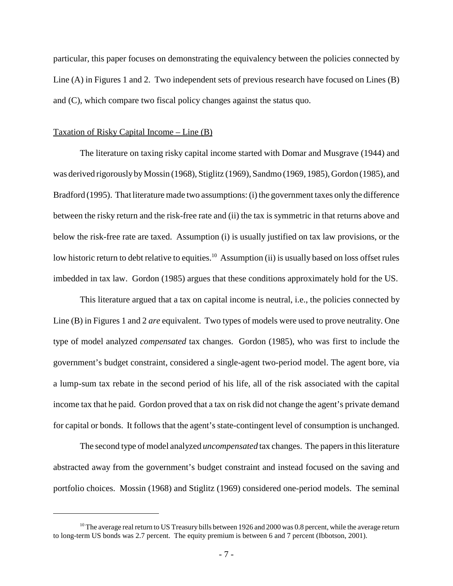particular, this paper focuses on demonstrating the equivalency between the policies connected by Line (A) in Figures 1 and 2. Two independent sets of previous research have focused on Lines (B) and (C), which compare two fiscal policy changes against the status quo.

#### Taxation of Risky Capital Income – Line (B)

The literature on taxing risky capital income started with Domar and Musgrave (1944) and was derived rigorously by Mossin (1968), Stiglitz (1969), Sandmo (1969, 1985), Gordon (1985), and Bradford (1995). That literature made two assumptions: (i) the government taxes only the difference between the risky return and the risk-free rate and (ii) the tax is symmetric in that returns above and below the risk-free rate are taxed. Assumption (i) is usually justified on tax law provisions, or the low historic return to debt relative to equities.<sup>10</sup> Assumption (ii) is usually based on loss offset rules imbedded in tax law. Gordon (1985) argues that these conditions approximately hold for the US.

This literature argued that a tax on capital income is neutral, i.e., the policies connected by Line (B) in Figures 1 and 2 *are* equivalent. Two types of models were used to prove neutrality. One type of model analyzed *compensated* tax changes. Gordon (1985), who was first to include the government's budget constraint, considered a single-agent two-period model. The agent bore, via a lump-sum tax rebate in the second period of his life, all of the risk associated with the capital income tax that he paid. Gordon proved that a tax on risk did not change the agent's private demand for capital or bonds. It follows that the agent's state-contingent level of consumption is unchanged.

The second type of model analyzed *uncompensated* tax changes. The papers in this literature abstracted away from the government's budget constraint and instead focused on the saving and portfolio choices. Mossin (1968) and Stiglitz (1969) considered one-period models. The seminal

 $10$  The average real return to US Treasury bills between 1926 and 2000 was 0.8 percent, while the average return to long-term US bonds was 2.7 percent. The equity premium is between 6 and 7 percent (Ibbotson, 2001).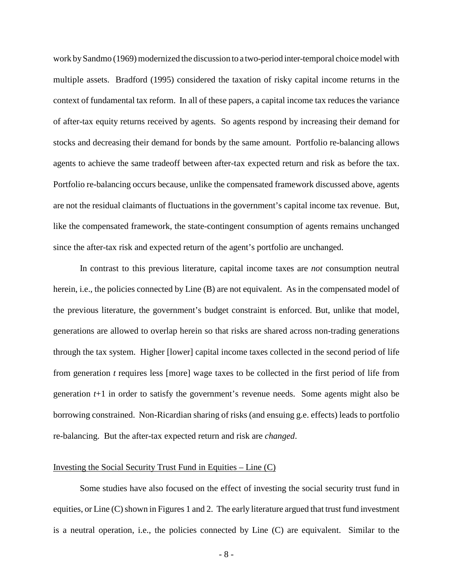work by Sandmo (1969) modernized the discussion to a two-period inter-temporal choice model with multiple assets. Bradford (1995) considered the taxation of risky capital income returns in the context of fundamental tax reform. In all of these papers, a capital income tax reduces the variance of after-tax equity returns received by agents. So agents respond by increasing their demand for stocks and decreasing their demand for bonds by the same amount. Portfolio re-balancing allows agents to achieve the same tradeoff between after-tax expected return and risk as before the tax. Portfolio re-balancing occurs because, unlike the compensated framework discussed above, agents are not the residual claimants of fluctuations in the government's capital income tax revenue. But, like the compensated framework, the state-contingent consumption of agents remains unchanged since the after-tax risk and expected return of the agent's portfolio are unchanged.

In contrast to this previous literature, capital income taxes are *not* consumption neutral herein, i.e., the policies connected by Line (B) are not equivalent. As in the compensated model of the previous literature, the government's budget constraint is enforced. But, unlike that model, generations are allowed to overlap herein so that risks are shared across non-trading generations through the tax system. Higher [lower] capital income taxes collected in the second period of life from generation *t* requires less [more] wage taxes to be collected in the first period of life from generation *t*+1 in order to satisfy the government's revenue needs. Some agents might also be borrowing constrained. Non-Ricardian sharing of risks (and ensuing g.e. effects) leads to portfolio re-balancing. But the after-tax expected return and risk are *changed*.

#### Investing the Social Security Trust Fund in Equities – Line (C)

Some studies have also focused on the effect of investing the social security trust fund in equities, or Line (C) shown in Figures 1 and 2. The early literature argued that trust fund investment is a neutral operation, i.e., the policies connected by Line (C) are equivalent. Similar to the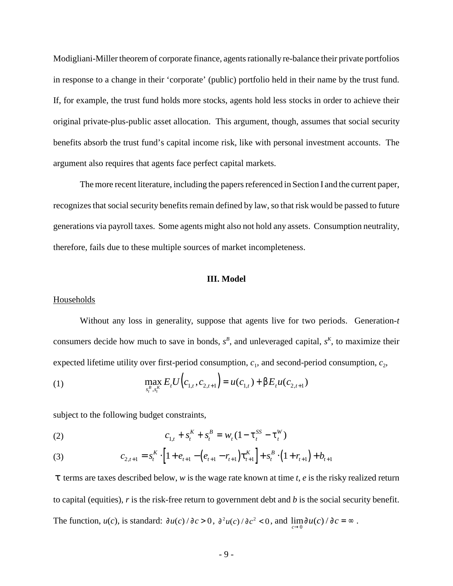Modigliani-Miller theorem of corporate finance, agents rationally re-balance their private portfolios in response to a change in their 'corporate' (public) portfolio held in their name by the trust fund. If, for example, the trust fund holds more stocks, agents hold less stocks in order to achieve their original private-plus-public asset allocation. This argument, though, assumes that social security benefits absorb the trust fund's capital income risk, like with personal investment accounts. The argument also requires that agents face perfect capital markets.

The more recent literature, including the papers referenced in Section I and the current paper, recognizes that social security benefits remain defined by law, so that risk would be passed to future generations via payroll taxes. Some agents might also not hold any assets. Consumption neutrality, therefore, fails due to these multiple sources of market incompleteness.

#### **III. Model**

#### **Households**

Without any loss in generality, suppose that agents live for two periods. Generation-*t* consumers decide how much to save in bonds,  $s^B$ , and unleveraged capital,  $s^K$ , to maximize their expected lifetime utility over first-period consumption,  $c_1$ , and second-period consumption,  $c_2$ ,

(1) 
$$
\max_{s_t^B, s_t^K} E_t U(e_{1,t}, c_{2,t+1}) = u(c_{1,t}) + \beta E_t u(c_{2,t+1})
$$

subject to the following budget constraints,

(2) 
$$
c_{1,t} + s_t^K + s_t^B = w_t (1 - \tau_t^{SS} - \tau_t^W)
$$

(3) 
$$
c_{2,t+1} = s_t^{K} \cdot \left[1 + e_{t+1} - \left(e_{t+1} - r_{t+1}\right) \tau_{t+1}^{K}\right] + s_t^{B} \cdot \left(1 + r_{t+1}\right) + b_{t+1}
$$

τ terms are taxes described below, *w* is the wage rate known at time *t*, *e* is the risky realized return to capital (equities), *r* is the risk-free return to government debt and *b* is the social security benefit. The function,  $u(c)$ , is standard:  $\frac{\partial u(c)}{\partial c} > 0$ ,  $\frac{\partial^2 u(c)}{\partial c^2} < 0$ , and  $\lim_{c \to 0} \frac{\partial u(c)}{\partial c} = \infty$ .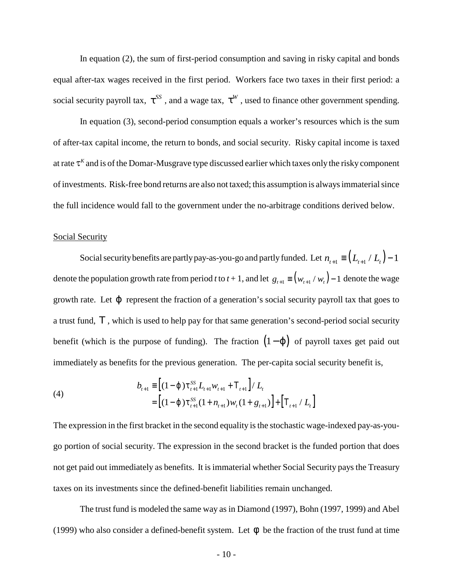In equation (2), the sum of first-period consumption and saving in risky capital and bonds equal after-tax wages received in the first period. Workers face two taxes in their first period: a social security payroll tax,  $\tau^{SS}$ , and a wage tax,  $\tau^{W}$ , used to finance other government spending.

 In equation (3), second-period consumption equals a worker's resources which is the sum of after-tax capital income, the return to bonds, and social security. Risky capital income is taxed at rate  $\tau^K$  and is of the Domar-Musgrave type discussed earlier which taxes only the risky component of investments. Risk-free bond returns are also not taxed; this assumption is always immaterial since the full incidence would fall to the government under the no-arbitrage conditions derived below.

### Social Security

Social security benefits are partly pay-as-you-go and partly funded. Let  $n_{i+1} \equiv (L_{i+1}/L_i) - 1$ denote the population growth rate from period *t* to  $t + 1$ , and let  $g_{t+1} \equiv (w_{t+1} / w_t) - 1$  denote the wage growth rate. Let  $\varphi$  represent the fraction of a generation's social security payroll tax that goes to a trust fund, T, which is used to help pay for that same generation's second-period social security benefit (which is the purpose of funding). The fraction  $(1 - \varphi)$  of payroll taxes get paid out immediately as benefits for the previous generation. The per-capita social security benefit is,

(4)  

$$
b_{t+1} \equiv \left[ (1 - \varphi) \tau_{t+1}^{SS} L_{t+1} w_{t+1} + T_{t+1} \right] / L_t
$$

$$
= \left[ (1 - \varphi) \tau_{t+1}^{SS} (1 + n_{t+1}) w_t (1 + g_{t+1}) \right] + \left[ T_{t+1} / L_t \right]
$$

The expression in the first bracket in the second equality is the stochastic wage-indexed pay-as-yougo portion of social security. The expression in the second bracket is the funded portion that does not get paid out immediately as benefits. It is immaterial whether Social Security pays the Treasury taxes on its investments since the defined-benefit liabilities remain unchanged.

The trust fund is modeled the same way as in Diamond (1997), Bohn (1997, 1999) and Abel (1999) who also consider a defined-benefit system. Let  $\phi$  be the fraction of the trust fund at time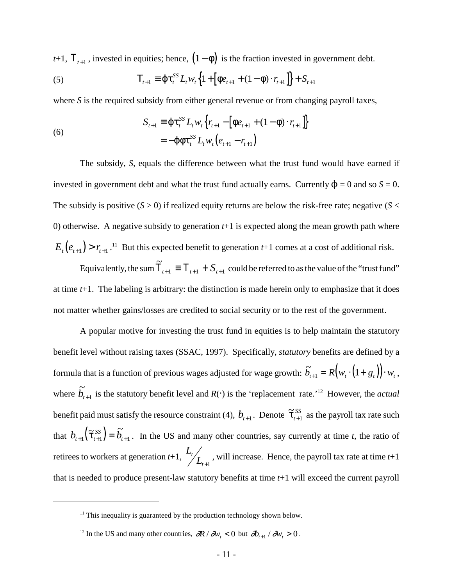*t*+1,  $T_{t+1}$ , invested in equities; hence,  $(1 - \phi)$  is the fraction invested in government debt.

(5) 
$$
T_{t+1} \equiv \varphi \tau_t^{SS} L_t w_t \left\{ 1 + \left[ \varphi e_{t+1} + (1 - \varphi) \cdot r_{t+1} \right] \right\} + S_{t+1}
$$

where *S* is the required subsidy from either general revenue or from changing payroll taxes,

(6)  

$$
S_{t+1} \equiv \varphi \tau_t^{SS} L_t w_t \Big\{ r_{t+1} - \Big[ \varphi e_{t+1} + (1 - \varphi) \cdot r_{t+1} \Big] \Big\}
$$

$$
= -\varphi \varphi \tau_t^{SS} L_t w_t \Big( e_{t+1} - r_{t+1} \Big)
$$

The subsidy, *S*, equals the difference between what the trust fund would have earned if invested in government debt and what the trust fund actually earns. Currently  $\phi = 0$  and so  $S = 0$ . The subsidy is positive  $(S > 0)$  if realized equity returns are below the risk-free rate; negative  $(S <$ 0) otherwise. A negative subsidy to generation *t*+1 is expected along the mean growth path where  $E_t(e_{t+1}) > r_{t+1}$ .<sup>11</sup> But this expected benefit to generation  $t+1$  comes at a cost of additional risk.

Equivalently, the sum  $\widetilde{T}_{t+1} = T_{t+1} + S_{t+1}$  could be referred to as the value of the "trust fund" at time *t*+1. The labeling is arbitrary: the distinction is made herein only to emphasize that it does not matter whether gains/losses are credited to social security or to the rest of the government.

A popular motive for investing the trust fund in equities is to help maintain the statutory benefit level without raising taxes (SSAC, 1997). Specifically, *statutory* benefits are defined by a formula that is a function of previous wages adjusted for wage growth:  $\tilde{b}_{t+1} = R(v_t \cdot (1 + g_t)) \cdot w_t$ , where  $\tilde{b}_{t+1}$  is the statutory benefit level and *R*( $\cdot$ ) is the 'replacement rate.'<sup>12</sup> However, the *actual* benefit paid must satisfy the resource constraint (4),  $b_{t+1}$ . Denote  $\tilde{\tau}_{t+1}^{SS}$  as the payroll tax rate such  $\widetilde{\tau}_{_{t+1}}^{SS}$ +1 that  $b_{t+1}(\tilde{\tau}_{t+1}^{SS}) = \tilde{b}_{t+1}$ . In the US and many other countries, say currently at time *t*, the ratio of retirees to workers at generation  $t+1$ ,  $L_t / L_{t+1}$ , will increase. Hence, the payroll tax rate at time  $t+1$ *t*+1 that is needed to produce present-law statutory benefits at time *t*+1 will exceed the current payroll

 $11$ <sup>11</sup> This inequality is guaranteed by the production technology shown below.

<sup>&</sup>lt;sup>12</sup> In the US and many other countries,  $\partial R / \partial w_i < 0$  but  $\partial b_{i+1} / \partial w_i > 0$ .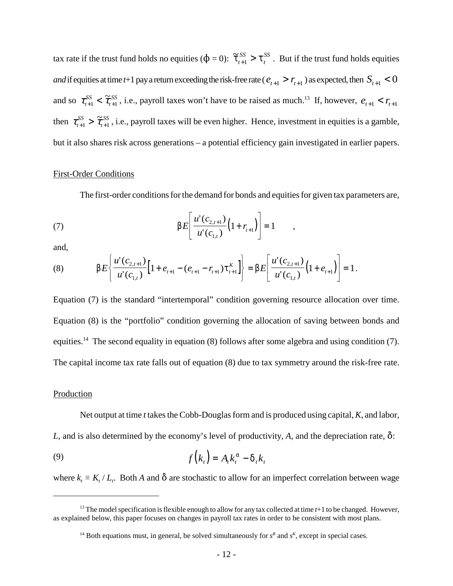tax rate if the trust fund holds no equities ( $\phi = 0$ ):  $\tilde{\tau}_{t+1}^{SS} > \tau_t^{SS}$  . But if the trust fund holds equities *t*  $S_{+1}^{SS} > \tau_t^{SS}$ *and* if equities at time *t*+1 pay a return exceeding the risk-free rate ( $e_{t+1} > r_{t+1}$ ) as expected, then  $S_{t+1} < 0$ and so  $\tau_{t+1}^{SS} < \tilde{\tau}_{t+1}^{SS}$ , i.e., payroll taxes won't have to be raised as much.<sup>13</sup> If, however, *t*  $\tilde{\tau}_{t+1}^S < \tilde{\tau}_{t+1}^S$ , i.e., payroll taxes won't have to be raised as much.<sup>13</sup> If, however,  $e_{t+1} < r_{t+1}$ then  $\tau_{t+1}^{SS} > \tilde{\tau}_{t+1}^{SS}$ , i.e., payroll taxes will be even higher. Hence, investment in equities is a gamble, *t*  $\widetilde{\tau}_{t+1}^{SS} > \widetilde{\tau}_{t+1}^{SS}$ but it also shares risk across generations – a potential efficiency gain investigated in earlier papers.

#### First-Order Conditions

The first-order conditions for the demand for bonds and equities for given tax parameters are,

(7) 
$$
\beta E\left[\frac{u'(c_{2,t+1})}{u'(c_{1,t})}\left(1+r_{t+1}\right)\right]=1\quad,
$$

and,

(8) 
$$
\beta E\left\{\frac{u'(c_{2,t+1})}{u'(c_{1,t})}\Big[1+e_{t+1}-(e_{t+1}-r_{t+1})\tau_{t+1}^K\Big]\right\}=\beta E\left[\frac{u'(c_{2,t+1})}{u'(c_{1,t})}\Big(1+e_{t+1}\Big)\right]=1.
$$

Equation (7) is the standard "intertemporal" condition governing resource allocation over time. Equation (8) is the "portfolio" condition governing the allocation of saving between bonds and equities.<sup>14</sup> The second equality in equation (8) follows after some algebra and using condition (7). The capital income tax rate falls out of equation (8) due to tax symmetry around the risk-free rate.

#### **Production**

Net output at time *t* takes the Cobb-Douglas form and is produced using capital, *K*, and labor, *L*, and is also determined by the economy's level of productivity, A, and the depreciation rate,  $\delta$ :

$$
(9) \t f(kt) = Atkt\alpha - \deltatkt
$$

where  $k_t \equiv K_t / L_t$ . Both *A* and  $\delta$  are stochastic to allow for an imperfect correlation between wage

<sup>&</sup>lt;sup>13</sup> The model specification is flexible enough to allow for any tax collected at time *t*+1 to be changed. However, as explained below, this paper focuses on changes in payroll tax rates in order to be consistent with most plans.

<sup>&</sup>lt;sup>14</sup> Both equations must, in general, be solved simultaneously for  $s<sup>B</sup>$  and  $s<sup>K</sup>$ , except in special cases.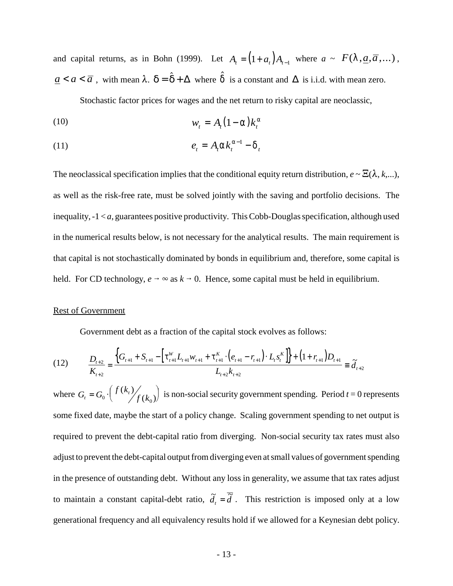and capital returns, as in Bohn (1999). Let  $A_t = (1 + a_t)A_{t-1}$  where  $a \sim F(\lambda, \underline{a}, \overline{a}, \dots)$ ,  $\underline{a} < a < \overline{a}$ , with mean  $\lambda$ .  $\delta = \hat{\delta} + \Delta$  where  $\hat{\delta}$  is a constant and  $\Delta$  is i.i.d. with mean zero.

Stochastic factor prices for wages and the net return to risky capital are neoclassic,

$$
(10) \t\t\t w_t = A_t (1 - \alpha) k_t^{\alpha}
$$

$$
(11) \t\t\t e_t = A_t \alpha k_t^{\alpha - 1} - \delta_t
$$

The neoclassical specification implies that the conditional equity return distribution,  $e \sim \mathbf{E}(\lambda, k,...)$ , as well as the risk-free rate, must be solved jointly with the saving and portfolio decisions. The inequality, -1 < *a*, guarantees positive productivity. This Cobb-Douglas specification, although used in the numerical results below, is not necessary for the analytical results. The main requirement is that capital is not stochastically dominated by bonds in equilibrium and, therefore, some capital is held. For CD technology,  $e \rightarrow \infty$  as  $k \rightarrow 0$ . Hence, some capital must be held in equilibrium.

### Rest of Government

Government debt as a fraction of the capital stock evolves as follows:

$$
(12) \qquad \frac{D_{t+2}}{K_{t+2}} = \frac{\left\{G_{t+1} + S_{t+1} - \left[\tau_{t+1}^W L_{t+1} w_{t+1} + \tau_{t+1}^K \cdot \left(e_{t+1} - r_{t+1}\right) \cdot L_t s_t^K\right]\right\} + \left(1 + r_{t+1}\right) D_{t+1}}{L_{t+2} k_{t+2}} \equiv \tilde{d}_{t+2}
$$

where  $G_t = G_0 \cdot \left( \frac{f(k_t)}{f(k_0)} \right)$  is non-social security government spending. Period  $t = 0$  represents  $(k_{i})$  $(k_0)$ some fixed date, maybe the start of a policy change. Scaling government spending to net output is required to prevent the debt-capital ratio from diverging. Non-social security tax rates must also adjust to prevent the debt-capital output from diverging even at small values of government spending in the presence of outstanding debt. Without any loss in generality, we assume that tax rates adjust to maintain a constant capital-debt ratio,  $\tilde{d}_t = \tilde{d}$ . This restriction is imposed only at a low generational frequency and all equivalency results hold if we allowed for a Keynesian debt policy.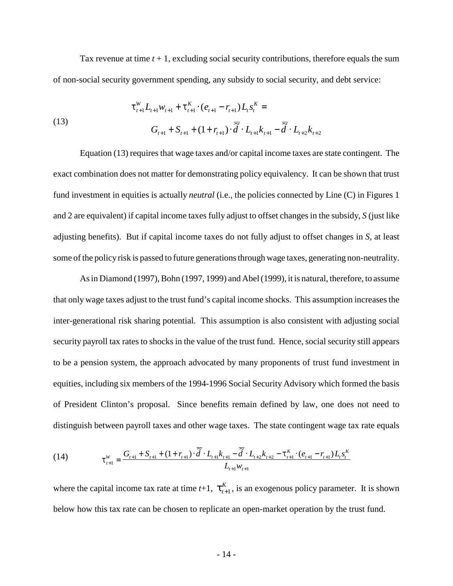Tax revenue at time  $t + 1$ , excluding social security contributions, therefore equals the sum of non-social security government spending, any subsidy to social security, and debt service:

(13)  

$$
\tau_{t+1}^{W} L_{t+1} w_{t+1} + \tau_{t+1}^{K} \cdot (e_{t+1} - r_{t+1}) L_{t} s_{t}^{K} =
$$

$$
G_{t+1} + S_{t+1} + (1 + r_{t+1}) \cdot \overline{\tilde{d}} \cdot L_{t+1} k_{t+1} - \overline{\tilde{d}} \cdot L_{t+2} k_{t+2}
$$

Equation (13) requires that wage taxes and/or capital income taxes are state contingent. The exact combination does not matter for demonstrating policy equivalency. It can be shown that trust fund investment in equities is actually *neutral* (i.e., the policies connected by Line (C) in Figures 1 and 2 are equivalent) if capital income taxes fully adjust to offset changes in the subsidy, *S* (just like adjusting benefits). But if capital income taxes do not fully adjust to offset changes in *S*, at least some of the policy risk is passed to future generations through wage taxes, generating non-neutrality.

As in Diamond (1997), Bohn (1997, 1999) and Abel (1999), it is natural, therefore, to assume that only wage taxes adjust to the trust fund's capital income shocks. This assumption increases the inter-generational risk sharing potential. This assumption is also consistent with adjusting social security payroll tax rates to shocks in the value of the trust fund. Hence, social security still appears to be a pension system, the approach advocated by many proponents of trust fund investment in equities, including six members of the 1994-1996 Social Security Advisory which formed the basis of President Clinton's proposal. Since benefits remain defined by law, one does not need to distinguish between payroll taxes and other wage taxes. The state contingent wage tax rate equals

(14) 
$$
\tau_{t+1}^W = \frac{G_{t+1} + S_{t+1} + (1 + r_{t+1}) \cdot \overline{\tilde{d}} \cdot L_{t+1} k_{t+1} - \overline{\tilde{d}} \cdot L_{t+2} k_{t+2} - \tau_{t+1}^K \cdot (e_{t+1} - r_{t+1}) L_t s_t^K}{L_{t+1} w_{t+1}}
$$

where the capital income tax rate at time  $t+1$ ,  $\tau_{t+1}^K$ , is an exogenous policy parameter. It is shown +1 below how this tax rate can be chosen to replicate an open-market operation by the trust fund.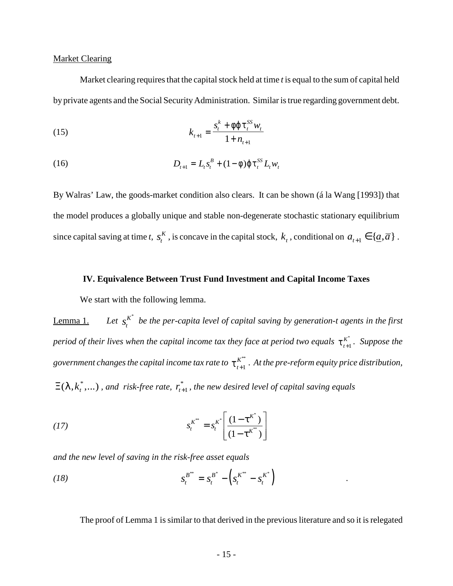### Market Clearing

Market clearing requires that the capital stock held at time *t* is equal to the sum of capital held by private agents and the Social Security Administration. Similar is true regarding government debt.

(15) 
$$
k_{t+1} = \frac{s_t^k + \phi \phi \tau_t^{SS} w_t}{1 + n_{t+1}}
$$

(16) 
$$
D_{t+1} = L_t s_t^B + (1 - \phi) \varphi \tau_t^{SS} L_t w_t
$$

By Walras' Law, the goods-market condition also clears. It can be shown (á la Wang [1993]) that the model produces a globally unique and stable non-degenerate stochastic stationary equilibrium since capital saving at time *t*,  $s_t^K$ , is concave in the capital stock,  $k_t$ , conditional on  $a_{t+1} \in \{ \underline{a}, \overline{a} \}$ .

# **IV. Equivalence Between Trust Fund Investment and Capital Income Taxes**

We start with the following lemma.

Lemma 1. *Let*  $s_t^{K^*}$  be the per-capita level of capital saving by generation-t agents in the first *period of their lives when the capital income tax they face at period two equals*  $\tau_{t+1}^{K^*}$ . Suppose the +1 \* government changes the capital income tax rate to  $\tau_{t+1}^{K^*}$  . At the pre-reform equity price distribution, +1 \*\*  $\Xi(\lambda, k_t^*, \dots)$  , and risk-free rate,  $r_{t+1}^*$ , the new desired level of capital saving equals

(17) 
$$
s_t^{K^{**}} = s_t^{K^*} \left[ \frac{(1 - \tau^{K^*})}{(1 - \tau^{K^{**}})} \right]
$$

*and the new level of saving in the risk-free asset equals*

(18) 
$$
S_t^{B^{**}} = S_t^{B^{*}} - \left( S_t^{K^{**}} - S_t^{K^{*}} \right)
$$

The proof of Lemma 1 is similar to that derived in the previous literature and so it is relegated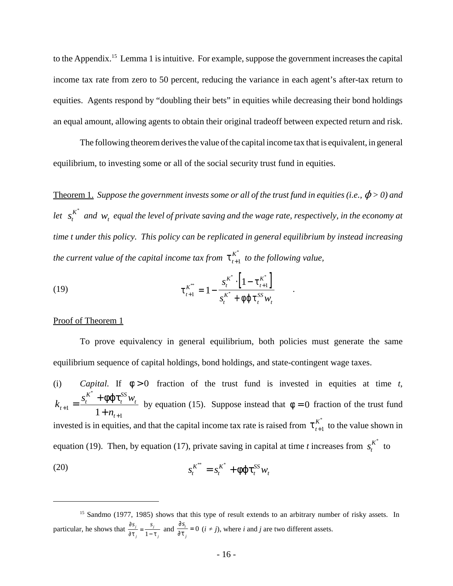to the Appendix.15 Lemma 1 is intuitive. For example, suppose the government increases the capital income tax rate from zero to 50 percent, reducing the variance in each agent's after-tax return to equities. Agents respond by "doubling their bets" in equities while decreasing their bond holdings an equal amount, allowing agents to obtain their original tradeoff between expected return and risk.

The following theorem derives the value of the capital income tax that is equivalent, in general equilibrium, to investing some or all of the social security trust fund in equities.

Theorem 1. *Suppose the government invests some or all of the trust fund in equities (i.e.,*  $\phi$  *> 0) and let*  $s_t^{K^*}$  and  $w_t$  equal the level of private saving and the wage rate, respectively, in the economy at *time t under this policy. This policy can be replicated in general equilibrium by instead increasing the current value of the capital income tax from*  $\tau_{t+1}^{K^*}$  *to the following value,* +1 \*

(19) 
$$
\tau_{t+1}^{K^{**}} = 1 - \frac{s_t^{K^*} \cdot \left[1 - \tau_{t+1}^{K^*}\right]}{s_t^{K^*} + \phi \varphi \tau_t^{SS} w_t}.
$$

#### Proof of Theorem 1

To prove equivalency in general equilibrium, both policies must generate the same equilibrium sequence of capital holdings, bond holdings, and state-contingent wage taxes.

(i) *Capital.* If  $\phi > 0$  fraction of the trust fund is invested in equities at time t,  $k_{t+1} = \frac{s_t^K + \phi \phi \tau_t^{SS} w_t}{s}$  by equation (15). Suppose instead that  $\phi = 0$  fraction of the trust fund  $t+1$  –  $\frac{}{1+n}$ *t K t SS t t* + +  $=\frac{s_t^{K} +$  $1 - \frac{1 + n_{t+1}}{1 + n_{t+1}}$  $\int_{0}^{x} + \phi \phi \tau_t^{SS} w_t$  by equation (15). Suppose instead that  $\phi = 0$ invested is in equities, and that the capital income tax rate is raised from  $\tau_{t+1}^{K^*}$  to the value shown in +1 \* equation (19). Then, by equation (17), private saving in capital at time *t* increases from  $s_t^{K^*}$  to (20)  $s_t^{K^*} = s_t^{K^*} + \phi \phi \tau_t^{SS} w$ *t K t SS t*  $x^* = s_t^{K^*} + \phi \varphi \tau$ 

<sup>&</sup>lt;sup>15</sup> Sandmo (1977, 1985) shows that this type of result extends to an arbitrary number of risky assets. In particular, he shows that  $\frac{\partial s_j}{\partial z} = \frac{s_j}{1-z}$  and  $\frac{\partial s_i}{\partial z} = 0$  (*i* ≠ *j*), where *i* and *j* are two different assets. ∂τ τ  $s_j$  *s j j*  $=\frac{1}{1-\tau}$ ∂ ∂ τ *si j* = 0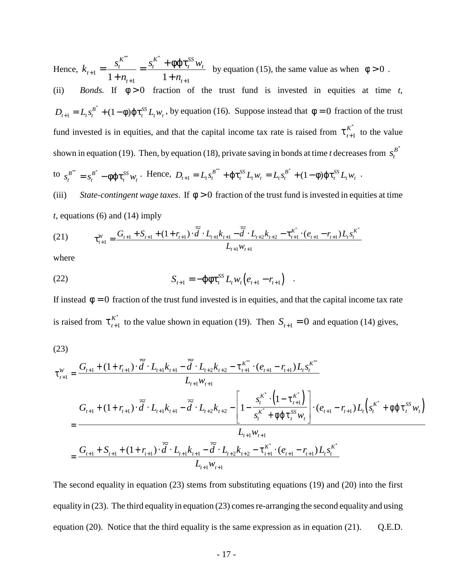Hence,  $k_{t+1} = \frac{s_t^K}{s_t} = \frac{s_t^K + \phi \phi \tau_t^{SS} w_t}{s_t}$  by equation (15), the same value as when  $\phi > 0$ . *n*  $s_t^K$  +  $\phi \varphi \tau_t^{SS} w$  $\frac{1}{1+n} - \frac{1}{1+n+1} - \frac{1}{1+n}$ *t K t t K t SS t t* +  $t_1 = \frac{s_t^K}{1 + n_{t+1}} = \frac{s_t^K + \phi \varphi \tau_t^K}{1 + n_{t+1}}$  $\frac{S_t^{K^*} + \phi \phi \tau_i^{SS} w_t}{\sigma^2}$  by equation (15), the same value as when  $\phi > 0$ (ii) *Bonds*. If  $\phi > 0$  fraction of the trust fund is invested in equities at time t,  $D_{t+1} = L_t s_t^{B^*} + (1 - \phi) \varphi \tau_t^{SS} L_t w_t$ , by equation (16). Suppose instead that  $\phi = 0$  fraction of the trust *t* <sup>1</sup> + (1 − φ) φτ<sup>SS</sup>  $L_t w_t$ , by equation (16). Suppose instead that  $φ = 0$ fund invested is in equities, and that the capital income tax rate is raised from  $\tau_{t+1}^{K^*}$  to the value +1 \* shown in equation (19). Then, by equation (18), private saving in bonds at time *t* decreases from  $s_t^{B^*}$ to  $s_t^{B^{**}} = s_t^{B^{*}} - \phi \phi \tau_t^{SS} w_t$ . Hence,  $D_{t+1} = L_t s_t^{B^{**}} + \phi \tau_t^{SS} L_t w_t = L_t s_t^{B^{*}} + (1 - \phi) \phi \tau_t^{SS} L_t w_t$ . *t B t SS t*  $S_t^* = s_t^{B^*} - \phi \phi \tau_t^{SS} w_t$ . Hence,  $D_{t+1} = L_t s_t^{B^*} + \phi \tau_t^{SS} L_t w_t = L_t s_t^{B^*} + (1 - \phi) \phi \tau_t^{SS} L_t w_t$ *t SS*  $u_t w_t - \mathbf{L}_t \mathbf{s}_t$ *B t*  $\mathcal{L}_{t+1} = L_t s_t^{B^{**}} + \varphi \tau_t^{SS} L_t w_t = L_t s_t^{B^{*}} + (1 - \varphi) \varphi \tau_t^{SS} L_t w_t$ (iii) *State-contingent wage taxes*. If  $\phi > 0$  fraction of the trust fund is invested in equities at time *t*, equations (6) and (14) imply

(21) 
$$
\tau_{t+1}^W = \frac{G_{t+1} + S_{t+1} + (1 + r_{t+1}) \cdot \overline{\tilde{d}} \cdot L_{t+1} k_{t+1} - \overline{\tilde{d}} \cdot L_{t+2} k_{t+2} - \tau_{t+1}^{K^*} \cdot (e_{t+1} - r_{t+1}) L_t s_t^{K^*}}{L_{t+1} w_{t+1}}
$$

where

(22) 
$$
S_{t+1} = -\varphi \varphi \tau_t^{SS} L_t w_t (e_{t+1} - r_{t+1})
$$

If instead  $\phi = 0$  fraction of the trust fund invested is in equities, and that the capital income tax rate is raised from  $\tau_{t+1}^{K^*}$  to the value shown in equation (19). Then  $S_{t+1} = 0$  and equation (14) gives, +1 to the value shown in equation (19). Then  $S_{t+1} = 0$ 

$$
(23)
$$

$$
\tau_{t+1}^{W} = \frac{G_{t+1} + (1 + r_{t+1}) \cdot \overline{\tilde{d}} \cdot L_{t+1} k_{t+1} - \overline{\tilde{d}} \cdot L_{t+2} k_{t+2} - \tau_{t+1}^{K^{**}} \cdot (e_{t+1} - r_{t+1}) L_{t} s_{t}^{K^{**}}}{L_{t+1} w_{t+1}}
$$
\n
$$
= \frac{G_{t+1} + (1 + r_{t+1}) \cdot \overline{\tilde{d}} \cdot L_{t+1} k_{t+1} - \overline{\tilde{d}} \cdot L_{t+2} k_{t+2} - \left[1 - \frac{s_{t}^{K^{*}} \cdot (1 - \tau_{t+1}^{K^{*}})}{s_{t}^{K^{*}} + \phi \phi \tau_{t}^{SS} w_{t}}\right] \cdot (e_{t+1} - r_{t+1}) L_{t} \left(s_{t}^{K^{*}} + \phi \phi \tau_{t}^{SS} w_{t}\right)}{L_{t+1} w_{t+1}}
$$
\n
$$
= \frac{G_{t+1} + S_{t+1} + (1 + r_{t+1}) \cdot \overline{\tilde{d}} \cdot L_{t+1} k_{t+1} - \overline{\tilde{d}} \cdot L_{t+2} k_{t+2} - \tau_{t+1}^{K^{*}} \cdot (e_{t+1} - r_{t+1}) L_{t} s_{t}^{K^{*}}}{L_{t+1} w_{t+1}}
$$

The second equality in equation (23) stems from substituting equations (19) and (20) into the first equality in (23). The third equality in equation (23) comes re-arranging the second equality and using equation (20). Notice that the third equality is the same expression as in equation (21).  $Q.E.D.$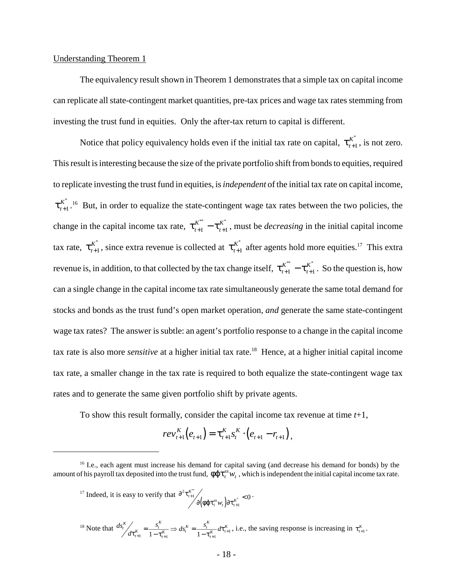### Understanding Theorem 1

The equivalency result shown in Theorem 1 demonstrates that a simple tax on capital income can replicate all state-contingent market quantities, pre-tax prices and wage tax rates stemming from investing the trust fund in equities. Only the after-tax return to capital is different.

Notice that policy equivalency holds even if the initial tax rate on capital,  $\tau_{t+1}^{K^*}$ , is not zero. +1 \* This result is interesting because the size of the private portfolio shift from bonds to equities, required to replicate investing the trust fund in equities, is *independent* of the initial tax rate on capital income,  $\tau_{t+1}^{K^*}$ .<sup>16</sup> But, in order to equalize the state-contingent wage tax rates between the two policies, the +1 \* change in the capital income tax rate,  $\tau_{t+1}^{K^*} - \tau_{t+1}^{K^*}$ , must be *decreasing* in the initial capital income *t*  $K_{+1}^* - \tau_{t+1}^{K^*}$ tax rate,  $\tau_{t+1}^{K^*}$ , since extra revenue is collected at  $\tau_{t+1}^{K^*}$  after agents hold more equities.<sup>17</sup> This extra +1  $\tau_{t+1}^*$ , since extra revenue is collected at  $\tau_{t+1}^K$ +1 \* revenue is, in addition, to that collected by the tax change itself,  $\tau_{t+1}^{K^*} - \tau_{t+1}^{K^*}$ . So the question is, how *t*  $K_{+1}^{K^*}$  –  $\tau_{t+1}^{K^*}$ can a single change in the capital income tax rate simultaneously generate the same total demand for stocks and bonds as the trust fund's open market operation, *and* generate the same state-contingent wage tax rates? The answer is subtle: an agent's portfolio response to a change in the capital income tax rate is also more *sensitive* at a higher initial tax rate.18 Hence, at a higher initial capital income tax rate, a smaller change in the tax rate is required to both equalize the state-contingent wage tax rates and to generate the same given portfolio shift by private agents.

To show this result formally, consider the capital income tax revenue at time *t*+1,

$$
rev_{t+1}^{K}(e_{t+1}) = \tau_{t+1}^{K} s_{t}^{K} \cdot (e_{t+1} - r_{t+1}),
$$

<sup>17</sup> Indeed, it is easy to verify that  $\frac{\partial^2 \tau_{i+1}^k}{\partial x_i^k}$  ...  $(\phi\phi\tau_i^w w_i)$  $\partial^2$ τ  $\partial$ (φφτ $,^{ss}w$ , ) $\partial$ τ  $^{2} \tau_{t+1}^{K^{**}}$ 1  $\int_{t+1}^{K^{**}}$  *t t (t) k*<sup>\*</sup> < 0  $\int_0^{t+1} \partial \bigl( \phi \mathfrak{q} \tau^{ss}_t w_{_t} \bigr) \partial \tau^K_{t+1}$ +  $\frac{1}{2}$ \*

<sup>18</sup> Note that  $ds_i^K / d\tau_{i+1}^K = \frac{s_i^K}{1 - \tau_{i+1}^K} \Rightarrow ds_i^K = \frac{s_i^K}{1 - \tau_{i+1}^K} d\tau_{i+1}^K$ , i.e., the saving response is increasing in  $\tau_{i+1}^K$ .  $\frac{K}{K}$   $\Rightarrow$   $ds_t^K = \frac{s_t^K}{1-\tau}$  $\tau_{t+1}^K = \frac{s_t}{1 - \tau_{t+1}^K} \Rightarrow ds_t^K = \frac{s_t}{1 - \tau_{t+1}^K} d\tau_{t+1}^K$  $\tau_{k+1} = \frac{s_i}{1 - \tau_{i+1}^K} \Rightarrow ds_i^K = \frac{s_i}{1 - \tau_{i+1}^K} d\tau_{i+1}^K$ , i.e., the saving response is increasing in  $\tau_{i+1}^K$ 

<sup>&</sup>lt;sup>16</sup> I.e., each agent must increase his demand for capital saving (and decrease his demand for bonds) by the amount of his payroll tax deposited into the trust fund,  $\phi \phi \tau_t^{ss} w_t$ , which is independent the initial capital income tax rate.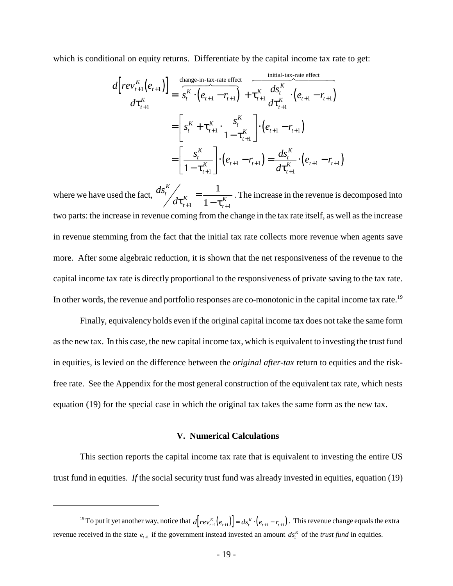which is conditional on equity returns. Differentiate by the capital income tax rate to get:

$$
\frac{d\left[rev_{t+1}^{K}(e_{t+1})\right]}{dt_{t+1}^{K}} = \frac{\sum_{t}^{t} (e_{t+1} - r_{t+1}) + \sum_{t}^{K} \frac{ds_{t}^{K}}{dt_{t+1}^{K}} \cdot (e_{t+1} - r_{t+1})}{\sum_{t}^{K} \frac{ds_{t}^{K}}{dt_{t+1}^{K}} \cdot (e_{t+1} - r_{t+1})}
$$
\n
$$
= \left[ s_{t}^{K} + \tau_{t+1}^{K} \cdot \frac{s_{t}^{K}}{1 - \tau_{t+1}^{K}} \right] \cdot (e_{t+1} - r_{t+1})
$$
\n
$$
= \left[ \frac{s_{t}^{K}}{1 - \tau_{t+1}^{K}} \right] \cdot (e_{t+1} - r_{t+1}) = \frac{ds_{t}^{K}}{dt_{t+1}^{K}} \cdot (e_{t+1} - r_{t+1})
$$

where we have used the fact,  $\frac{ds_i^K}{ds_i^K}$  =  $\frac{1}{\sqrt{K}}$ . The increase in the revenue is decomposed into *d t K t K*  $\tau_{t+1}^K \equiv 1 - \tau_{t+1}^K$ = 1  $1 - \tau_{t+1}^K$ 1 1 two parts: the increase in revenue coming from the change in the tax rate itself, as well as the increase in revenue stemming from the fact that the initial tax rate collects more revenue when agents save more. After some algebraic reduction, it is shown that the net responsiveness of the revenue to the capital income tax rate is directly proportional to the responsiveness of private saving to the tax rate. In other words, the revenue and portfolio responses are co-monotonic in the capital income tax rate.<sup>19</sup>

Finally, equivalency holds even if the original capital income tax does not take the same form as the new tax. In this case, the new capital income tax, which is equivalent to investing the trust fund in equities, is levied on the difference between the *original after-tax* return to equities and the riskfree rate. See the Appendix for the most general construction of the equivalent tax rate, which nests equation (19) for the special case in which the original tax takes the same form as the new tax.

### **V. Numerical Calculations**

This section reports the capital income tax rate that is equivalent to investing the entire US trust fund in equities. *If* the social security trust fund was already invested in equities, equation (19)

<sup>&</sup>lt;sup>19</sup> To put it yet another way, notice that  $d[rev_{t+1}^K(e_{t+1})] = ds_t^K \cdot (e_{t+1} - r_{t+1})$ . This revenue change equals the extra revenue received in the state  $e_{t+1}$  if the government instead invested an amount  $ds_t^K$  of the *trust fund* in equities.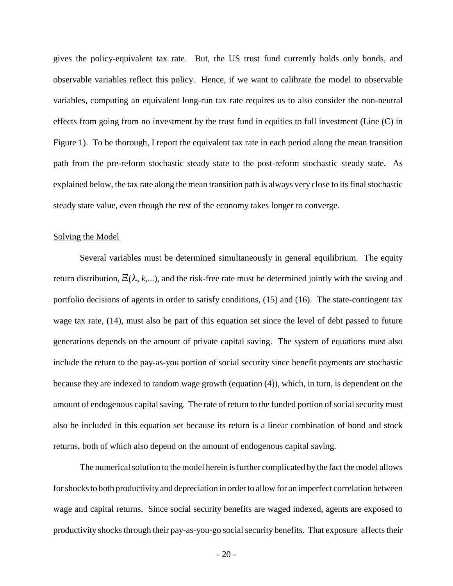gives the policy-equivalent tax rate. But, the US trust fund currently holds only bonds, and observable variables reflect this policy. Hence, if we want to calibrate the model to observable variables, computing an equivalent long-run tax rate requires us to also consider the non-neutral effects from going from no investment by the trust fund in equities to full investment (Line (C) in Figure 1). To be thorough, I report the equivalent tax rate in each period along the mean transition path from the pre-reform stochastic steady state to the post-reform stochastic steady state. As explained below, the tax rate along the mean transition path is always very close to its final stochastic steady state value, even though the rest of the economy takes longer to converge.

#### Solving the Model

Several variables must be determined simultaneously in general equilibrium. The equity return distribution,  $\Xi(\lambda, k,...)$ , and the risk-free rate must be determined jointly with the saving and portfolio decisions of agents in order to satisfy conditions, (15) and (16). The state-contingent tax wage tax rate, (14), must also be part of this equation set since the level of debt passed to future generations depends on the amount of private capital saving. The system of equations must also include the return to the pay-as-you portion of social security since benefit payments are stochastic because they are indexed to random wage growth (equation (4)), which, in turn, is dependent on the amount of endogenous capital saving. The rate of return to the funded portion of social security must also be included in this equation set because its return is a linear combination of bond and stock returns, both of which also depend on the amount of endogenous capital saving.

The numerical solution to the model herein is further complicated by the fact the model allows for shocks to both productivity and depreciation in order to allow for an imperfect correlation between wage and capital returns. Since social security benefits are waged indexed, agents are exposed to productivity shocks through their pay-as-you-go social security benefits. That exposure affects their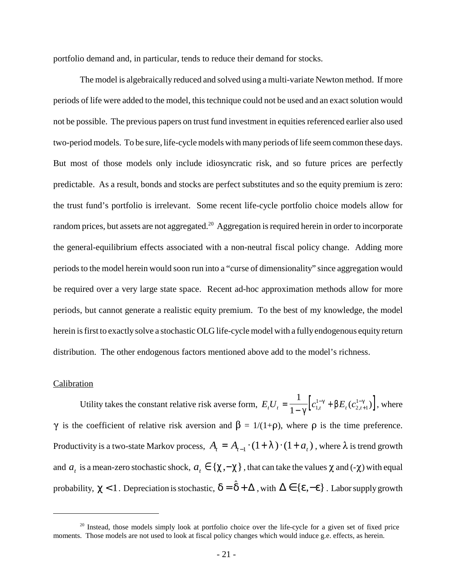portfolio demand and, in particular, tends to reduce their demand for stocks.

The model is algebraically reduced and solved using a multi-variate Newton method. If more periods of life were added to the model, this technique could not be used and an exact solution would not be possible. The previous papers on trust fund investment in equities referenced earlier also used two-period models. To be sure, life-cycle models with many periods of life seem common these days. But most of those models only include idiosyncratic risk, and so future prices are perfectly predictable. As a result, bonds and stocks are perfect substitutes and so the equity premium is zero: the trust fund's portfolio is irrelevant. Some recent life-cycle portfolio choice models allow for random prices, but assets are not aggregated.<sup>20</sup> Aggregation is required herein in order to incorporate the general-equilibrium effects associated with a non-neutral fiscal policy change. Adding more periods to the model herein would soon run into a "curse of dimensionality" since aggregation would be required over a very large state space. Recent ad-hoc approximation methods allow for more periods, but cannot generate a realistic equity premium. To the best of my knowledge, the model herein is first to exactly solve a stochastic OLG life-cycle model with a fully endogenous equity return distribution. The other endogenous factors mentioned above add to the model's richness.

### Calibration

Utility takes the constant relative risk averse form,  $E_t U_t = \frac{1}{1-\gamma} \left[ c_{1,t}^{1-\gamma} + \beta E_t (c_{2,t+1}^{1-\gamma}) \right]$ , where  $\frac{1}{\sqrt{2}} \int e^{1-\gamma}$  R  $\mathbf{F}$  ( $e^{1-\gamma}$  $1-\gamma$ <sup>[c<sub>1</sub></sup>] 1  $2, t+1$  $\frac{1}{\gamma} \Big[ c_{1,t}^{1-\gamma} + \beta E_t (c_{2,t+1}^{1-\gamma}) \Big]$  $\gamma$  is the coefficient of relative risk aversion and  $\beta = 1/(1+\rho)$ , where  $\rho$  is the time preference. Productivity is a two-state Markov process,  $A_t = A_{t-1} \cdot (1 + \lambda) \cdot (1 + a_t)$ , where  $\lambda$  is trend growth and  $a_t$  is a mean-zero stochastic shock,  $a_t \in \{\chi, -\chi\}$ , that can take the values  $\chi$  and (- $\chi$ ) with equal probability,  $\chi$  < 1. Depreciation is stochastic,  $\delta = \hat{\delta} + \Delta$ , with  $\Delta \in \{\epsilon, -\epsilon\}$ . Labor supply growth

<sup>&</sup>lt;sup>20</sup> Instead, those models simply look at portfolio choice over the life-cycle for a given set of fixed price moments. Those models are not used to look at fiscal policy changes which would induce g.e. effects, as herein.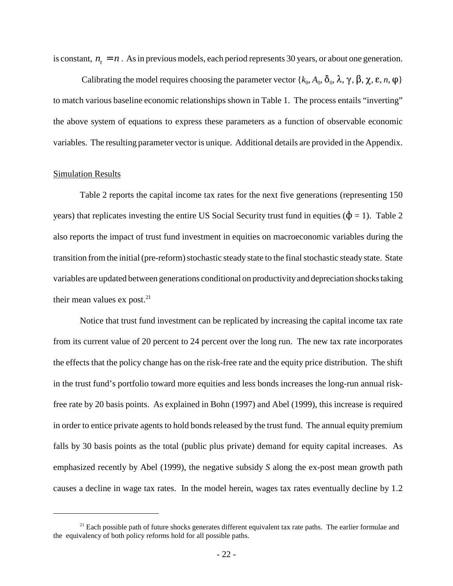is constant,  $n_t = n$ . As in previous models, each period represents 30 years, or about one generation.

Calibrating the model requires choosing the parameter vector { $k_0$ ,  $A_0$ ,  $\delta_0$ ,  $\lambda$ ,  $\gamma$ ,  $\beta$ ,  $\chi$ ,  $\varepsilon$ ,  $n$ ,  $\varphi$ } to match various baseline economic relationships shown in Table 1. The process entails "inverting" the above system of equations to express these parameters as a function of observable economic variables. The resulting parameter vector is unique. Additional details are provided in the Appendix.

#### Simulation Results

Table 2 reports the capital income tax rates for the next five generations (representing 150 years) that replicates investing the entire US Social Security trust fund in equities ( $\phi$  = 1). Table 2 also reports the impact of trust fund investment in equities on macroeconomic variables during the transition from the initial (pre-reform) stochastic steady state to the final stochastic steady state. State variables are updated between generations conditional on productivity and depreciation shocks taking their mean values  $ex$  post.<sup>21</sup>

Notice that trust fund investment can be replicated by increasing the capital income tax rate from its current value of 20 percent to 24 percent over the long run. The new tax rate incorporates the effects that the policy change has on the risk-free rate and the equity price distribution. The shift in the trust fund's portfolio toward more equities and less bonds increases the long-run annual riskfree rate by 20 basis points. As explained in Bohn (1997) and Abel (1999), this increase is required in order to entice private agents to hold bonds released by the trust fund. The annual equity premium falls by 30 basis points as the total (public plus private) demand for equity capital increases. As emphasized recently by Abel (1999), the negative subsidy *S* along the ex-post mean growth path causes a decline in wage tax rates. In the model herein, wages tax rates eventually decline by 1.2

<sup>&</sup>lt;sup>21</sup> Each possible path of future shocks generates different equivalent tax rate paths. The earlier formulae and the equivalency of both policy reforms hold for all possible paths.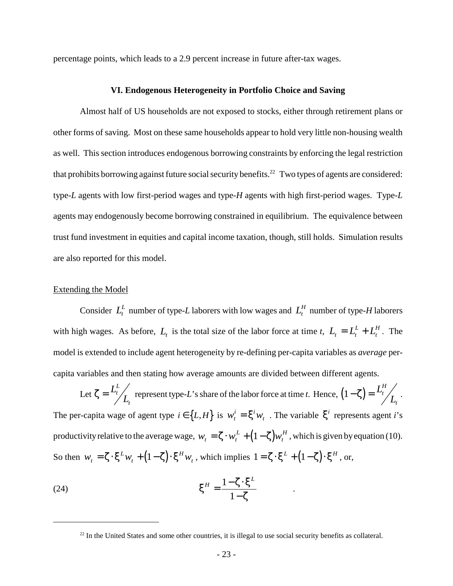percentage points, which leads to a 2.9 percent increase in future after-tax wages.

#### **VI. Endogenous Heterogeneity in Portfolio Choice and Saving**

Almost half of US households are not exposed to stocks, either through retirement plans or other forms of saving. Most on these same households appear to hold very little non-housing wealth as well. This section introduces endogenous borrowing constraints by enforcing the legal restriction that prohibits borrowing against future social security benefits.<sup>22</sup> Two types of agents are considered: type-*L* agents with low first-period wages and type-*H* agents with high first-period wages. Type-*L* agents may endogenously become borrowing constrained in equilibrium. The equivalence between trust fund investment in equities and capital income taxation, though, still holds. Simulation results are also reported for this model.

#### Extending the Model

Consider  $L_t^L$  number of type-*L* laborers with low wages and  $L_t^H$  number of type-*H* laborers with high wages. As before,  $L_t$  is the total size of the labor force at time *t*,  $L_t = L_t^L + L_t^H$ . The  $L_t^L + L_t^H$ model is extended to include agent heterogeneity by re-defining per-capita variables as *average* percapita variables and then stating how average amounts are divided between different agents.

Let  $\zeta = \frac{L_t^L}{L_t}$  represent type-L's share of the labor force at time *t*. Hence,  $(1-\zeta) = \frac{L_t^H}{L_t}$ . *L* represent type-L's share of the labor force at time t. Hence,  $(1 - \zeta) = \frac{L_t^H}{L}$ *H t* The per-capita wage of agent type  $i \in \{L, H\}$  is  $w_t^i = \xi^i w_t$ . The variable  $\xi^i$  represents agent *i*'s productivity relative to the average wage,  $w_t = \zeta \cdot w_t^L + (1 - \zeta) w_t^H$ , which is given by equation (10). So then  $w_t = \zeta \cdot \xi^L w_t + (1 - \zeta) \cdot \xi^H w_t$ , which implies  $1 = \zeta \cdot \xi^L + (1 - \zeta) \cdot \xi^H$ , or,

(24) 
$$
\xi^H = \frac{1 - \zeta \cdot \xi^L}{1 - \zeta} .
$$

<sup>&</sup>lt;sup>22</sup> In the United States and some other countries, it is illegal to use social security benefits as collateral.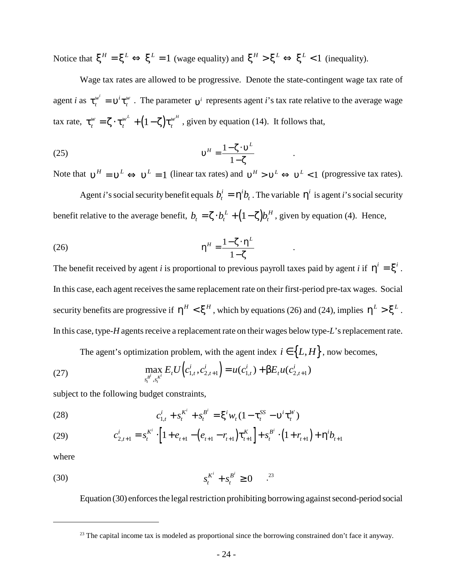Notice that  $\xi^H = \xi^L \Leftrightarrow \xi^L = 1$  (wage equality) and  $\xi^H > \xi^L \Leftrightarrow \xi^L < 1$  (inequality).

Wage tax rates are allowed to be progressive. Denote the state-contingent wage tax rate of agent *i* as  $\tau_i^{w'} = v^i \tau_i^w$ . The parameter  $v^i$  represents agent *i*'s tax rate relative to the average wage *t*  $\mathbf{v}^i = \mathbf{v}^i \mathbf{\tau}_t^w$ . The parameter  $\mathbf{v}^i$ tax rate,  $\tau_t^w = \zeta \cdot \tau_t^{w^L} + (1 - \zeta) \tau_t^{w^H}$ , given by equation (14). It follows that, *w t*  $=\zeta\cdot\boldsymbol{\tau}^{w^L}_{t} + (1-\zeta)\boldsymbol{\tau}^{w^H}_{t}$ 

$$
v^H = \frac{1 - \zeta \cdot v^L}{1 - \zeta} \qquad .
$$

Note that  $v^H = v^L \Leftrightarrow v^L = 1$  (linear tax rates) and  $v^H > v^L \Leftrightarrow v^L < 1$  (progressive tax rates).

Agent *i*'s social security benefit equals  $b_t^i = \eta^i b_t$ . The variable  $\eta^i$  is agent *i*'s social security benefit relative to the average benefit,  $b_t = \zeta \cdot b_t^L + (1 - \zeta) b_t^H$ , given by equation (4). Hence,

$$
\eta^H = \frac{1 - \zeta \cdot \eta^L}{1 - \zeta} \qquad .
$$

The benefit received by agent *i* is proportional to previous payroll taxes paid by agent *i* if  $\eta^i = \xi^i$ . In this case, each agent receives the same replacement rate on their first-period pre-tax wages. Social security benefits are progressive if  $\eta^H < \xi^H$ , which by equations (26) and (24), implies  $\eta^L > \xi^L$ . In this case, type-*H* agents receive a replacement rate on their wages below type-*L*'s replacement rate.

The agent's optimization problem, with the agent index  $i \in \{L, H\}$ , now becomes,

(27) 
$$
\max_{s_t^{B^i}, s_t^{K^i}} E_t U\Big(c_{1,t}^i, c_{2,t+1}^i\Big) = u(c_{1,t}^i) + \beta E_t u(c_{2,t+1}^i)
$$

subject to the following budget constraints,

(28) 
$$
c_{1,t}^i + s_t^{K^i} + s_t^{B^i} = \xi^i w_t (1 - \tau_t^{SS} - \nu^i \tau_t^W)
$$

(29) 
$$
c_{2,t+1}^i = s_t^{K^i} \cdot \left[1 + e_{t+1} - \left(e_{t+1} - r_{t+1}\right) \tau_{t+1}^K\right] + s_t^{B^i} \cdot \left(1 + r_{t+1}\right) + \eta^i b_{t+1}
$$

where

(30) 
$$
s_t^{K^i} + s_t^{B^i} \ge 0 \qquad .^{23}
$$

Equation (30) enforces the legal restriction prohibiting borrowing against second-period social

<sup>&</sup>lt;sup>23</sup> The capital income tax is modeled as proportional since the borrowing constrained don't face it anyway.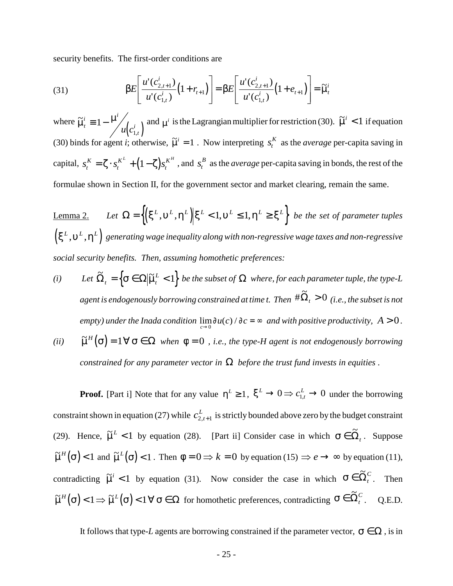security benefits. The first-order conditions are

(31) 
$$
\beta E\left[\frac{u'(c_{2,t+1}^i)}{u'(c_{1,t}^i)}(1+r_{t+1})\right] = \beta E\left[\frac{u'(c_{2,t+1}^i)}{u'(c_{1,t}^i)}(1+e_{t+1})\right] = \widetilde{\mu}_t^i
$$

where  $\tilde{\mu}_t^i \equiv 1 - \frac{\mu'}{\mu(c_{1,t}^i)}$  and  $\mu^i$  is the Lagrangian multiplier for restriction (30).  $\tilde{\mu}^i < 1$  if equation  $\tilde{\mu}_t^i \equiv 1 - \frac{\mu^i}{2}$ *t*  $u(c_1^i)$  $\equiv$  1  $-$ 1  $\mu^i$  is the Lagrangian multiplier for restriction (30).  $\tilde{\mu}^i < 1$ (30) binds for agent *i*; otherwise,  $\tilde{\mu}^i = 1$ . Now interpreting  $s_t^K$  as the *average* per-capita saving in capital,  $s_t^K = \zeta \cdot s_t^{K^L} + (1 - \zeta)s_t^{K^H}$ , and  $s_t^B$  as the *average* per-capita saving in bonds, the rest of the *t K t*  $K = \zeta \cdot s_t^{K^L} + (1 - \zeta)s_t^{K^H}$ , and  $s_t^B$ formulae shown in Section II, for the government sector and market clearing, remain the same.

Lemma 2. *Let*  $\Omega = \left\{ \left( \xi^L, \nu^L, \eta^L \right) \middle| \xi^L < 1, \nu^L \leq 1, \eta^L \geq \xi^L \right\}$  *be the set of parameter tuples*  $\left(\xi^L,\nu^L,\eta^L\right)$  generating wage inequality along with non-regressive wage taxes and non-regressive *social security benefits. Then, assuming homothetic preferences:*

- *(i)* Let  $\widetilde{\Omega}_t = \left\{ \sigma \in \Omega \middle| \widetilde{\mu}_t^L < 1 \right\}$  be the subset of  $\Omega$  where, for each parameter tuple, the type-L agent is endogenously borrowing constrained at time t. Then  $\,\sharp\tilde{\Omega}_t>0\,$  (i.e., the subset is not *empty)* under the Inada condition  $\lim_{c \to 0} \frac{\partial u(c)}{\partial c} = \infty$  and with positive productivity,  $A > 0$ .
- *(ii)*  $\tilde{\mu}^H(\sigma) = 1 \,\forall \,\sigma \in \Omega$  when  $\phi = 0$  , *i.e., the type-H agent is not endogenously borrowing constrained for any parameter vector in*  $\Omega$  *before the trust fund invests in equities*.

**Proof.** [Part i] Note that for any value  $\eta^L \geq 1$ ,  $\xi^L \to 0 \Rightarrow c_{1,t}^L \to 0$  under the borrowing constraint shown in equation (27) while  $c_{2,t+1}^L$  is strictly bounded above zero by the budget constraint  $2, t+1$ (29). Hence,  $\tilde{\mu}^L < 1$  by equation (28). [Part ii] Consider case in which  $\sigma \in \tilde{\Omega}_t$ . Suppose  $\tilde{\mu}^H(\sigma) < 1$  and  $\tilde{\mu}^L(\sigma) < 1$ . Then  $\phi = 0 \Rightarrow k = 0$  by equation (15)  $\Rightarrow e \rightarrow \infty$  by equation (11), contradicting  $\tilde{\mu}^i$  < 1 by equation (31). Now consider the case in which  $\sigma \in \tilde{\Omega}_t^c$ . Then  $\widetilde{\mu}^H(\sigma)$  < 1  $\Rightarrow$   $\widetilde{\mu}^L(\sigma)$  < 1  $\forall \sigma \in \Omega$  for homothetic preferences, contradicting  $\sigma \in \widetilde{\Omega}_t^C$ . Q.E.D.

It follows that type-*L* agents are borrowing constrained if the parameter vector,  $\sigma \in \Omega$ , is in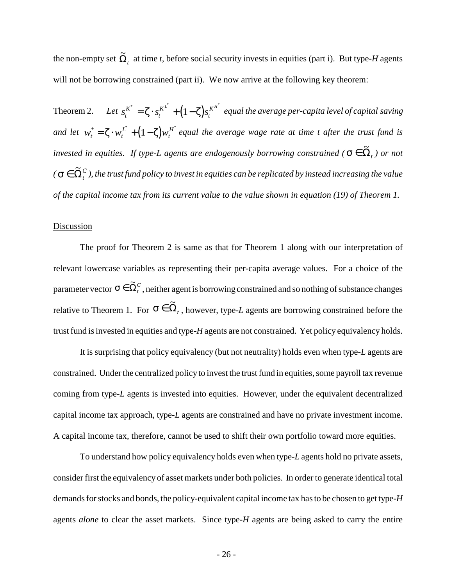the non-empty set  $\tilde{\Omega}_t$  at time *t*, before social security invests in equities (part i). But type-*H* agents will not be borrowing constrained (part ii). We now arrive at the following key theorem:

<u>Theorem 2.</u> Let  $s_t^{K^*} = \zeta \cdot s_t^{K^L} + (1-\zeta)s_t^{K^H}$  equal the average per-capita level of capital saving *K t*  $\zeta^* = \zeta \cdot s_t^{K^{L^*}} + (1 - \zeta) s_t^{K^{H^*}}$ *and let*  $w_t^* = \zeta \cdot w_t^{L^*} + (1 - \zeta) w_t^{H^*}$  equal the average wage rate at time t after the trust fund is  $\mathbf{H}_{t}^{*} = \zeta \cdot w_{t}^{L^{*}} + (1 - \zeta) w_{t}^{H^{*}}$ *invested in equities.* If type-L agents are endogenously borrowing constrained ( $\sigma \in \tilde{\Omega}_t$ ) or not  $\tilde{C}(\sigma \in \tilde{\Omega}^C_t$  ), the trust fund policy to invest in equities can be replicated by instead increasing the value *of the capital income tax from its current value to the value shown in equation (19) of Theorem 1.*

### **Discussion**

The proof for Theorem 2 is same as that for Theorem 1 along with our interpretation of relevant lowercase variables as representing their per-capita average values. For a choice of the parameter vector  $\sigma \in \tilde{\Omega}_t^C$  , neither agent is borrowing constrained and so nothing of substance changes relative to Theorem 1. For  $\sigma \in \widetilde{\Omega}_t$ , however, type-*L* agents are borrowing constrained before the trust fund is invested in equities and type-*H* agents are not constrained. Yet policy equivalency holds.

It is surprising that policy equivalency (but not neutrality) holds even when type-*L* agents are constrained. Under the centralized policy to invest the trust fund in equities, some payroll tax revenue coming from type-*L* agents is invested into equities. However, under the equivalent decentralized capital income tax approach, type-*L* agents are constrained and have no private investment income. A capital income tax, therefore, cannot be used to shift their own portfolio toward more equities.

To understand how policy equivalency holds even when type-*L* agents hold no private assets, consider first the equivalency of asset markets under both policies. In order to generate identical total demands for stocks and bonds, the policy-equivalent capital income tax has to be chosen to get type-*H* agents *alone* to clear the asset markets. Since type-*H* agents are being asked to carry the entire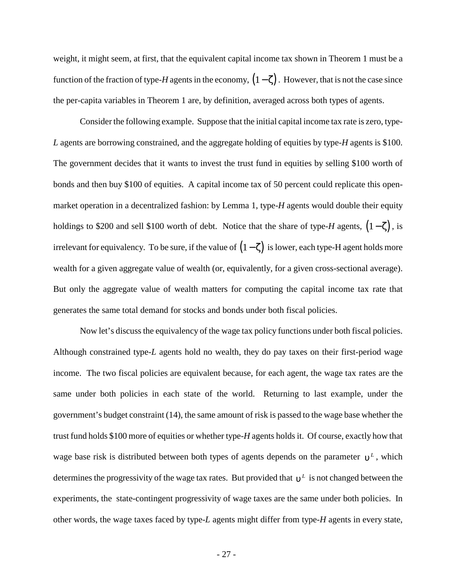weight, it might seem, at first, that the equivalent capital income tax shown in Theorem 1 must be a function of the fraction of type-*H* agents in the economy,  $(1-\zeta)$ . However, that is not the case since the per-capita variables in Theorem 1 are, by definition, averaged across both types of agents.

Consider the following example. Suppose that the initial capital income tax rate is zero, type-*L* agents are borrowing constrained, and the aggregate holding of equities by type-*H* agents is \$100. The government decides that it wants to invest the trust fund in equities by selling \$100 worth of bonds and then buy \$100 of equities. A capital income tax of 50 percent could replicate this openmarket operation in a decentralized fashion: by Lemma 1, type-*H* agents would double their equity holdings to \$200 and sell \$100 worth of debt. Notice that the share of type-*H* agents,  $(1-\zeta)$ , is irrelevant for equivalency. To be sure, if the value of  $(1-\zeta)$  is lower, each type-H agent holds more wealth for a given aggregate value of wealth (or, equivalently, for a given cross-sectional average). But only the aggregate value of wealth matters for computing the capital income tax rate that generates the same total demand for stocks and bonds under both fiscal policies.

Now let's discuss the equivalency of the wage tax policy functions under both fiscal policies. Although constrained type-*L* agents hold no wealth, they do pay taxes on their first-period wage income. The two fiscal policies are equivalent because, for each agent, the wage tax rates are the same under both policies in each state of the world. Returning to last example, under the government's budget constraint (14), the same amount of risk is passed to the wage base whether the trust fund holds \$100 more of equities or whether type-*H* agents holds it. Of course, exactly how that wage base risk is distributed between both types of agents depends on the parameter  $v^L$ , which determines the progressivity of the wage tax rates. But provided that  $v^L$  is not changed between the experiments, the state-contingent progressivity of wage taxes are the same under both policies. In other words, the wage taxes faced by type-*L* agents might differ from type-*H* agents in every state,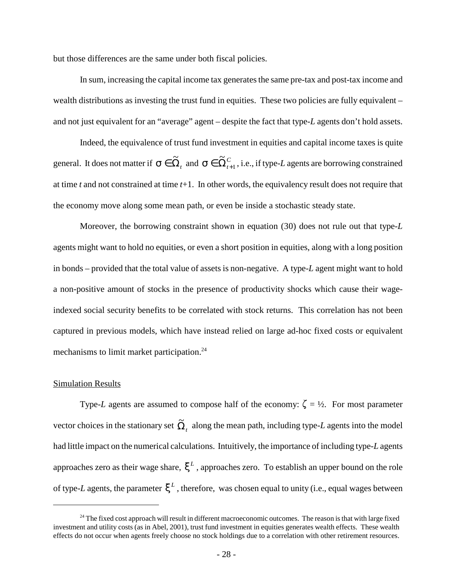but those differences are the same under both fiscal policies.

In sum, increasing the capital income tax generates the same pre-tax and post-tax income and wealth distributions as investing the trust fund in equities. These two policies are fully equivalent – and not just equivalent for an "average" agent – despite the fact that type-*L* agents don't hold assets.

Indeed, the equivalence of trust fund investment in equities and capital income taxes is quite general. It does not matter if  $\sigma \in \tilde{\Omega}_t^c$  and  $\sigma \in \tilde{\Omega}_{t+1}^c$ , i.e., if type-L agents are borrowing constrained  $\tilde{\sim}$  $\widetilde{\Omega}_{\scriptscriptstyle t\pm}^{\scriptscriptstyle C}$ 1 at time *t* and not constrained at time *t*+1. In other words, the equivalency result does not require that the economy move along some mean path, or even be inside a stochastic steady state.

Moreover, the borrowing constraint shown in equation (30) does not rule out that type-*L* agents might want to hold no equities, or even a short position in equities, along with a long position in bonds – provided that the total value of assets is non-negative. A type-*L* agent might want to hold a non-positive amount of stocks in the presence of productivity shocks which cause their wageindexed social security benefits to be correlated with stock returns. This correlation has not been captured in previous models, which have instead relied on large ad-hoc fixed costs or equivalent mechanisms to limit market participation.<sup>24</sup>

### Simulation Results

Type-*L* agents are assumed to compose half of the economy:  $\zeta = \frac{1}{2}$ . For most parameter vector choices in the stationary set  $\tilde{\Omega}_t$  along the mean path, including type-*L* agents into the model had little impact on the numerical calculations. Intuitively, the importance of including type-*L* agents approaches zero as their wage share,  $\xi^L$ , approaches zero. To establish an upper bound on the role of type-*L* agents, the parameter  $\xi^L$ , therefore, was chosen equal to unity (i.e., equal wages between

<sup>&</sup>lt;sup>24</sup> The fixed cost approach will result in different macroeconomic outcomes. The reason is that with large fixed investment and utility costs (as in Abel, 2001), trust fund investment in equities generates wealth effects. These wealth effects do not occur when agents freely choose no stock holdings due to a correlation with other retirement resources.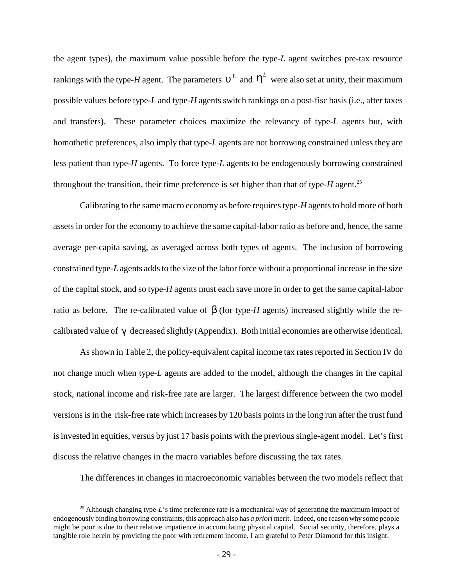the agent types), the maximum value possible before the type-*L* agent switches pre-tax resource rankings with the type-*H* agent. The parameters  $v^L$  and  $\eta^L$  were also set at unity, their maximum possible values before type-*L* and type-*H* agents switch rankings on a post-fisc basis (i.e., after taxes and transfers). These parameter choices maximize the relevancy of type-*L* agents but, with homothetic preferences, also imply that type-*L* agents are not borrowing constrained unless they are less patient than type-*H* agents. To force type-*L* agents to be endogenously borrowing constrained throughout the transition, their time preference is set higher than that of type- $H$  agent.<sup>25</sup>

Calibrating to the same macro economy as before requires type-*H* agents to hold more of both assets in order for the economy to achieve the same capital-labor ratio as before and, hence, the same average per-capita saving, as averaged across both types of agents. The inclusion of borrowing constrained type-*L* agents adds to the size of the labor force without a proportional increase in the size of the capital stock, and so type-*H* agents must each save more in order to get the same capital-labor ratio as before. The re-calibrated value of  $\beta$  (for type-*H* agents) increased slightly while the recalibrated value of  $\gamma$  decreased slightly (Appendix). Both initial economies are otherwise identical.

As shown in Table 2, the policy-equivalent capital income tax rates reported in Section IV do not change much when type-*L* agents are added to the model, although the changes in the capital stock, national income and risk-free rate are larger. The largest difference between the two model versions is in the risk-free rate which increases by 120 basis points in the long run after the trust fund is invested in equities, versus by just 17 basis points with the previous single-agent model. Let's first discuss the relative changes in the macro variables before discussing the tax rates.

The differences in changes in macroeconomic variables between the two models reflect that

<sup>&</sup>lt;sup>25</sup> Although changing type-*L*'s time preference rate is a mechanical way of generating the maximum impact of endogenously binding borrowing constraints, this approach also has *a priori* merit. Indeed, one reason why some people might be poor is due to their relative impatience in accumulating physical capital. Social security, therefore, plays a tangible role herein by providing the poor with retirement income. I am grateful to Peter Diamond for this insight.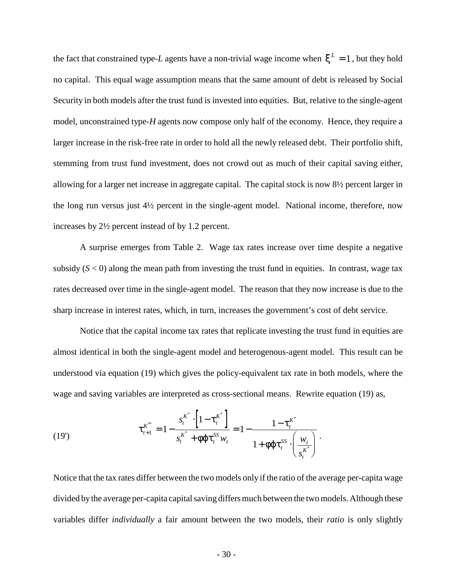the fact that constrained type-*L* agents have a non-trivial wage income when  $\xi^L = 1$ , but they hold no capital. This equal wage assumption means that the same amount of debt is released by Social Security in both models after the trust fund is invested into equities. But, relative to the single-agent model, unconstrained type-*H* agents now compose only half of the economy. Hence, they require a larger increase in the risk-free rate in order to hold all the newly released debt. Their portfolio shift, stemming from trust fund investment, does not crowd out as much of their capital saving either, allowing for a larger net increase in aggregate capital. The capital stock is now 8½ percent larger in the long run versus just 4½ percent in the single-agent model. National income, therefore, now increases by 2½ percent instead of by 1.2 percent.

A surprise emerges from Table 2. Wage tax rates increase over time despite a negative subsidy  $(S < 0)$  along the mean path from investing the trust fund in equities. In contrast, wage tax rates decreased over time in the single-agent model. The reason that they now increase is due to the sharp increase in interest rates, which, in turn, increases the government's cost of debt service.

Notice that the capital income tax rates that replicate investing the trust fund in equities are almost identical in both the single-agent model and heterogenous-agent model. This result can be understood via equation (19) which gives the policy-equivalent tax rate in both models, where the wage and saving variables are interpreted as cross-sectional means. Rewrite equation (19) as,

(19') 
$$
\tau_{t+1}^{K^{**}} = 1 - \frac{s_t^{K^*} \cdot \left[1 - \tau_t^{K^*}\right]}{s_t^{K^*} + \phi \varphi \tau_t^{SS} w_t} = 1 - \frac{1 - \tau_t^{K^*}}{1 + \phi \varphi \tau_t^{SS} \cdot \left(\frac{w_t}{s_t^{K^*}}\right)}.
$$

Notice that the tax rates differ between the two models only if the ratio of the average per-capita wage divided by the average per-capita capital saving differs much between the two models. Although these variables differ *individually* a fair amount between the two models, their *ratio* is only slightly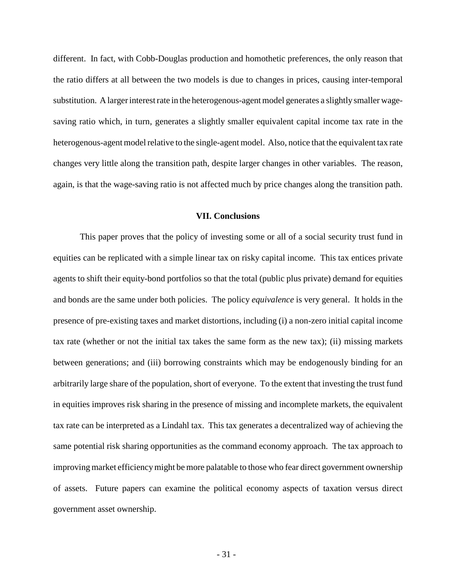different. In fact, with Cobb-Douglas production and homothetic preferences, the only reason that the ratio differs at all between the two models is due to changes in prices, causing inter-temporal substitution. A larger interest rate in the heterogenous-agent model generates a slightly smaller wagesaving ratio which, in turn, generates a slightly smaller equivalent capital income tax rate in the heterogenous-agent model relative to the single-agent model. Also, notice that the equivalent tax rate changes very little along the transition path, despite larger changes in other variables. The reason, again, is that the wage-saving ratio is not affected much by price changes along the transition path.

### **VII. Conclusions**

This paper proves that the policy of investing some or all of a social security trust fund in equities can be replicated with a simple linear tax on risky capital income. This tax entices private agents to shift their equity-bond portfolios so that the total (public plus private) demand for equities and bonds are the same under both policies. The policy *equivalence* is very general. It holds in the presence of pre-existing taxes and market distortions, including (i) a non-zero initial capital income tax rate (whether or not the initial tax takes the same form as the new tax); (ii) missing markets between generations; and (iii) borrowing constraints which may be endogenously binding for an arbitrarily large share of the population, short of everyone. To the extent that investing the trust fund in equities improves risk sharing in the presence of missing and incomplete markets, the equivalent tax rate can be interpreted as a Lindahl tax. This tax generates a decentralized way of achieving the same potential risk sharing opportunities as the command economy approach. The tax approach to improving market efficiency might be more palatable to those who fear direct government ownership of assets. Future papers can examine the political economy aspects of taxation versus direct government asset ownership.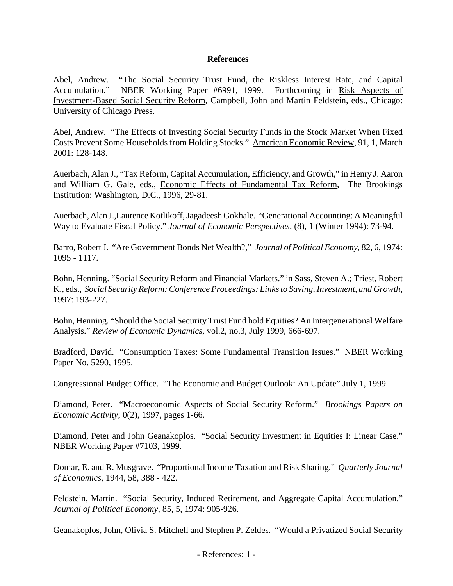## **References**

Abel, Andrew. "The Social Security Trust Fund, the Riskless Interest Rate, and Capital Accumulation." NBER Working Paper #6991, 1999. Forthcoming in Risk Aspects of Investment-Based Social Security Reform, Campbell, John and Martin Feldstein, eds., Chicago: University of Chicago Press.

Abel, Andrew. "The Effects of Investing Social Security Funds in the Stock Market When Fixed Costs Prevent Some Households from Holding Stocks." American Economic Review, 91, 1, March 2001: 128-148.

Auerbach, Alan J., "Tax Reform, Capital Accumulation, Efficiency, and Growth," in Henry J. Aaron and William G. Gale, eds., Economic Effects of Fundamental Tax Reform, The Brookings Institution: Washington, D.C., 1996, 29-81.

Auerbach, Alan J.,Laurence Kotlikoff, Jagadeesh Gokhale. "Generational Accounting: A Meaningful Way to Evaluate Fiscal Policy." *Journal of Economic Perspectives*, (8), 1 (Winter 1994): 73-94.

Barro, Robert J. "Are Government Bonds Net Wealth?," *Journal of Political Economy*, 82, 6, 1974: 1095 - 1117.

Bohn, Henning. "Social Security Reform and Financial Markets." in Sass, Steven A.; Triest, Robert K., eds., *Social Security Reform: Conference Proceedings: Links to Saving, Investment, and Growth*, 1997: 193-227.

Bohn, Henning. "Should the Social Security Trust Fund hold Equities? An Intergenerational Welfare Analysis." *Review of Economic Dynamics*, vol.2, no.3, July 1999, 666-697.

Bradford, David. "Consumption Taxes: Some Fundamental Transition Issues." NBER Working Paper No. 5290, 1995.

Congressional Budget Office. "The Economic and Budget Outlook: An Update" July 1, 1999.

Diamond, Peter. "Macroeconomic Aspects of Social Security Reform." *Brookings Papers on Economic Activity*; 0(2), 1997, pages 1-66.

Diamond, Peter and John Geanakoplos. "Social Security Investment in Equities I: Linear Case." NBER Working Paper #7103, 1999.

Domar, E. and R. Musgrave. "Proportional Income Taxation and Risk Sharing." *Quarterly Journal of Economics*, 1944, 58, 388 - 422.

Feldstein, Martin. "Social Security, Induced Retirement, and Aggregate Capital Accumulation." *Journal of Political Economy*, 85, 5, 1974: 905-926.

Geanakoplos, John, Olivia S. Mitchell and Stephen P. Zeldes. "Would a Privatized Social Security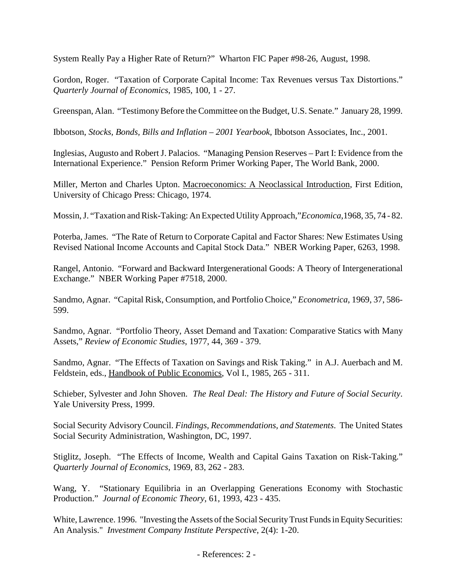System Really Pay a Higher Rate of Return?" Wharton FIC Paper #98-26, August, 1998.

Gordon, Roger. "Taxation of Corporate Capital Income: Tax Revenues versus Tax Distortions." *Quarterly Journal of Economics*, 1985, 100, 1 - 27.

Greenspan, Alan. "Testimony Before the Committee on the Budget, U.S. Senate." January 28, 1999.

Ibbotson, *Stocks, Bonds, Bills and Inflation – 2001 Yearbook*, Ibbotson Associates, Inc., 2001.

Inglesias, Augusto and Robert J. Palacios. "Managing Pension Reserves – Part I: Evidence from the International Experience." Pension Reform Primer Working Paper, The World Bank, 2000.

Miller, Merton and Charles Upton. Macroeconomics: A Neoclassical Introduction, First Edition, University of Chicago Press: Chicago, 1974.

Mossin, J. "Taxation and Risk-Taking: An Expected Utility Approach,"*Economica*,1968, 35, 74 - 82.

Poterba, James. "The Rate of Return to Corporate Capital and Factor Shares: New Estimates Using Revised National Income Accounts and Capital Stock Data." NBER Working Paper, 6263, 1998.

Rangel, Antonio. "Forward and Backward Intergenerational Goods: A Theory of Intergenerational Exchange." NBER Working Paper #7518, 2000.

Sandmo, Agnar. "Capital Risk, Consumption, and Portfolio Choice," *Econometrica*, 1969, 37, 586- 599.

Sandmo, Agnar. "Portfolio Theory, Asset Demand and Taxation: Comparative Statics with Many Assets," *Review of Economic Studies*, 1977, 44, 369 - 379.

Sandmo, Agnar. "The Effects of Taxation on Savings and Risk Taking." in A.J. Auerbach and M. Feldstein, eds., Handbook of Public Economics, Vol I., 1985, 265 - 311.

Schieber, Sylvester and John Shoven. *The Real Deal: The History and Future of Social Security*. Yale University Press, 1999.

Social Security Advisory Council. *Findings, Recommendations, and Statements*. The United States Social Security Administration, Washington, DC, 1997.

Stiglitz, Joseph. "The Effects of Income, Wealth and Capital Gains Taxation on Risk-Taking." *Quarterly Journal of Economics*, 1969, 83, 262 - 283.

Wang, Y. "Stationary Equilibria in an Overlapping Generations Economy with Stochastic Production." *Journal of Economic Theory*, 61, 1993, 423 - 435.

White, Lawrence. 1996. "Investing the Assets of the Social Security Trust Funds in Equity Securities: An Analysis." *Investment Company Institute Perspective*, 2(4): 1-20.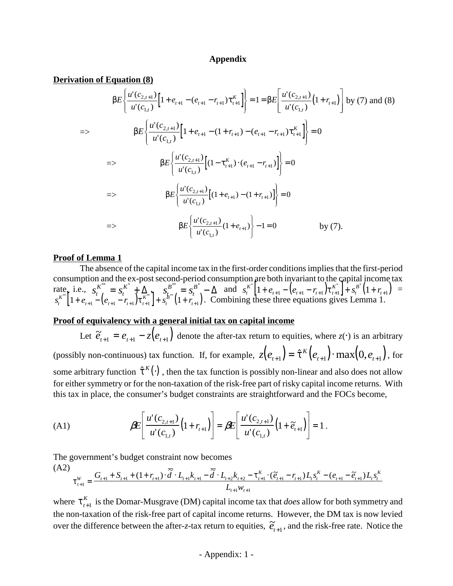### **Appendix**

#### **Derivation of Equation (8)**

$$
\beta E \left\{ \frac{u'(c_{2,t+1})}{u'(c_{1,t})} \left[ 1 + e_{t+1} - (e_{t+1} - r_{t+1}) \tau_{t+1}^K \right] \right\} = 1 = \beta E \left[ \frac{u'(c_{2,t+1})}{u'(c_{1,t})} \left( 1 + r_{t+1} \right) \right] \text{ by (7) and (8)}
$$
\n
$$
= \beta E \left\{ \frac{u'(c_{2,t+1})}{u'(c_{1,t})} \left[ 1 + e_{t+1} - (1 + r_{t+1}) - (e_{t+1} - r_{t+1}) \tau_{t+1}^K \right] \right\} = 0
$$
\n
$$
\Rightarrow \beta E \left\{ \frac{u'(c_{2,t+1})}{u'(c_{1,t})} \left[ (1 - \tau_{t+1}^K) \cdot (e_{t+1} - r_{t+1}) \right] \right\} = 0
$$
\n
$$
\Rightarrow \beta E \left\{ \frac{u'(c_{2,t+1})}{u'(c_{1,t})} \left[ (1 + e_{t+1}) - (1 + r_{t+1}) \right] \right\} = 0
$$
\n
$$
\Rightarrow \beta E \left\{ \frac{u'(c_{2,t+1})}{u'(c_{1,t})} (1 + e_{t+1}) \right\} - 1 = 0 \qquad \text{by (7)}.
$$

### **Proof of Lemma 1**

The absence of the capital income tax in the first-order conditions implies that the first-period consumption and the ex-post second-period consumption are both invariant to the capital income tax rate, i.e.,  $s_{t}^{K^*} = s_t^{K^*} + \Delta_{K^*}$ ,  $s_{t}^{B^*} = s_t^{B^*} - \Delta$  and  $s_t^{K^*} \left[1 + e_{t+1} - \left(e_{t+1} - r_{t+1}\right) \tau_{t+1}^{K^*}\right] + s_t^{B^*} \left(1 + r_{t+1}\right) =$ *t*  $S_t^* = S_t^{K^*} + \Delta_{\nu^*}$ ,  $S_{t_{t+1}}^{B^{**}} = S_t$ *t*  $\sum_{i=1}^{k+1} S_i^{B^*} - \Delta$  and  $s_i^{K^*} \left[ 1 + e_{i+1} - \left( e_{i+1} - r_{i+1} \right) \tau_{i+1}^{K^*} \right] + s_i^{B^*} \left( 1 + r_{i+1} \right)$  $t_{t+1} - (e_{t+1} - r_{t+1}) \cdot t$ *K t B t*  $\mathbb{I}^*$   $\left[1+e_{t+1}-e_{t+1}-r_{t+1}\right]\mathcal{F}_{t+1}^{K^*}$   $\left[1+r_{t+1}\right]$  $s_t^{K^*}$  | 1+  $e_{t+1} - (e_{t+1} - r_{t+1}) \tau_{t+1}^{K^*}$  | +  $s_t^{B^*}$  (1+  $r_{t+1}$ ). Combining these three equations gives Lemma 1.  $t_{t+1} - (e_{t+1} - r_{t+1}) \cdot t$ *K t B t*  $\int_{t}^{*} \left[1 + e_{t+1} - \left(e_{t+1} - r_{t+1}\right) \tau_{t+1}^{K^{**}}\right] + s_t^{B^{**}} \left(1 + r_{t+1}^{K^{**}}\right)$ 

### **Proof of equivalency with a general initial tax on capital income**

Let  $\tilde{e}_{t+1} = e_{t+1} - z(e_{t+1})$  denote the after-tax return to equities, where  $z(\cdot)$  is an arbitrary (possibly non-continuous) tax function. If, for example,  $z(e_{t+1}) = \hat{\tau}^K(e_{t+1}) \cdot \max(0, e_{t+1})$ , for some arbitrary function  $\hat{\tau}^k(\cdot)$ , then the tax function is possibly non-linear and also does not allow for either symmetry or for the non-taxation of the risk-free part of risky capital income returns. With this tax in place, the consumer's budget constraints are straightforward and the FOCs become,

(A1) 
$$
\beta E\left[\frac{u'(c_{2,t+1})}{u'(c_{1,t})}\left(1+r_{t+1}\right)\right]=\beta E\left[\frac{u'(c_{2,t+1})}{u'(c_{1,t})}\left(1+\tilde{e}_{t+1}\right)\right]=1.
$$

The government's budget constraint now becomes

$$
(A2) \n\tau_{t+1}^W = \frac{G_{t+1} + S_{t+1} + (1 + r_{t+1}) \cdot \overline{\tilde{d}} \cdot L_{t+1} k_{t+1} - \overline{\tilde{d}} \cdot L_{t+2} k_{t+2} - \tau_{t+1}^K \cdot (\tilde{e}_{t+1} - r_{t+1}) L_t s_t^K - (e_{t+1} - \tilde{e}_{t+1}) L_t s_t^K}{L_{t+1} w_{t+1}}
$$

where  $\tau_{t+1}^K$  is the Domar-Musgrave (DM) capital income tax that *does* allow for both symmetry and +1 the non-taxation of the risk-free part of capital income returns. However, the DM tax is now levied over the difference between the after-*z*-tax return to equities,  $\tilde{e}_{t+1}$ , and the risk-free rate. Notice the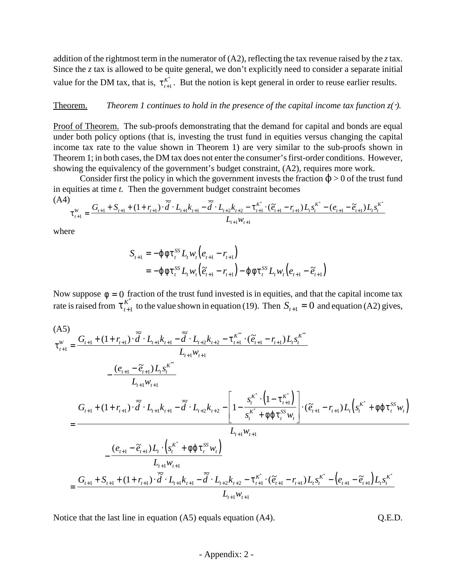addition of the rightmost term in the numerator of (A2), reflecting the tax revenue raised by the *z* tax. Since the *z* tax is allowed to be quite general, we don't explicitly need to consider a separate initial value for the DM tax, that is,  $\tau_{t+1}^{K^*}$ . But the notion is kept general in order to reuse earlier results. +1 \*

### **Theorem.** *Theorem 1 continues to hold in the presence of the capital income tax function*  $z($  $)$ *.*

Proof of Theorem. The sub-proofs demonstrating that the demand for capital and bonds are equal under both policy options (that is, investing the trust fund in equities versus changing the capital income tax rate to the value shown in Theorem 1) are very similar to the sub-proofs shown in Theorem 1; in both cases, the DM tax does not enter the consumer's first-order conditions. However, showing the equivalency of the government's budget constraint, (A2), requires more work.

Consider first the policy in which the government invests the fraction  $\phi > 0$  of the trust fund in equities at time *t.* Then the government budget constraint becomes

$$
(A4) \n\tau_{t+1}^W = \frac{G_{t+1} + S_{t+1} + (1 + r_{t+1}) \cdot \overline{\tilde{d}} \cdot L_{t+1} k_{t+1} - \overline{\tilde{d}} \cdot L_{t+2} k_{t+2} - \tau_{t+1}^{k^*} \cdot (\tilde{e}_{t+1} - r_{t+1}) L_t s_t^{k^*} - (e_{t+1} - \tilde{e}_{t+1}) L_t s_t^{k^*}}{L_{t+1} w_{t+1}}
$$

where

$$
S_{t+1} = -\varphi \varphi \tau_t^{SS} L_t w_t (e_{t+1} - r_{t+1})
$$
  
=  $-\varphi \varphi \tau_t^{SS} L_t w_t (\tilde{e}_{t+1} - r_{t+1}) - \varphi \varphi \tau_t^{SS} L_t w_t (e_{t+1} - \tilde{e}_{t+1})$ 

Now suppose  $\phi = 0$  fraction of the trust fund invested is in equities, and that the capital income tax rate is raised from  $\tau_{t+1}^{K^*}$  to the value shown in equation (19). Then  $S_{t+1} = 0$  and equation (A2) gives, +1 <sup>\*</sup><sub>1</sub> to the value shown in equation (19). Then  $S_{t+1} = 0$ 

$$
(AS)
$$
\n
$$
\tau_{t+1}^{W} = \frac{G_{t+1} + (1 + r_{t+1}) \cdot \overline{\tilde{d}} \cdot L_{t+1} k_{t+1} - \overline{\tilde{d}} \cdot L_{t+2} k_{t+2} - \tau_{t+1}^{k^{**}} \cdot (\tilde{e}_{t+1} - r_{t+1}) L_{t} s_{t}^{k^{**}}}{L_{t+1} w_{t+1}} - \frac{(e_{t+1} - \tilde{e}_{t+1}) L_{t} s_{t}^{k^{**}}}{L_{t+1} w_{t+1}} - \frac{1}{\tilde{d}} \cdot L_{t+1} k_{t+1} k_{t+1} - \overline{\tilde{d}} \cdot L_{t+2} k_{t+2} - \left[1 - \frac{s_{t}^{k^{*}} \cdot (1 - \tau_{t+1}^{k^{*}})}{s_{t}^{k^{*}} + \phi \phi \tau_{t}^{s} w_{t}}\right] \cdot (\tilde{e}_{t+1} - r_{t+1}) L_{t} \left(s_{t}^{k^{*}} + \phi \phi \tau_{t}^{s} w_{t}\right)
$$
\n
$$
= \frac{1}{\frac{1}{\tilde{d}_{t+1} + \tilde{e}_{t+1}} \sum_{t+1}^{k} \frac{1}{\tilde{d}_{t+1} + \tilde{e}_{t+1}} \cdot \frac{1}{\tilde{d}_{t+1} + \phi \tau_{t+1}^{s}}}{L_{t+1} w_{t+1}}
$$
\n
$$
= \frac{1}{\frac{1}{\tilde{d}_{t+1} + \tilde{e}_{t+1} + \tilde{e}_{t+1} + \tilde{e}_{t+1} \cdot \overline{\tilde{d}} \cdot L_{t+1} \tilde{e}_{t+1} - \tilde{d}_{t+1} k_{t+2} - \tau_{t+1}^{k^{*}} \cdot (\tilde{e}_{t+1} - r_{t+1}) L_{t} s_{t}^{k^{*}} - (e_{t+1} - \tilde{e}_{t+1}) L_{t} s_{t}^{k^{*}}}{L_{t+1} w_{t+1}}
$$

Notice that the last line in equation (A5) equals equation (A4).  $Q.E.D.$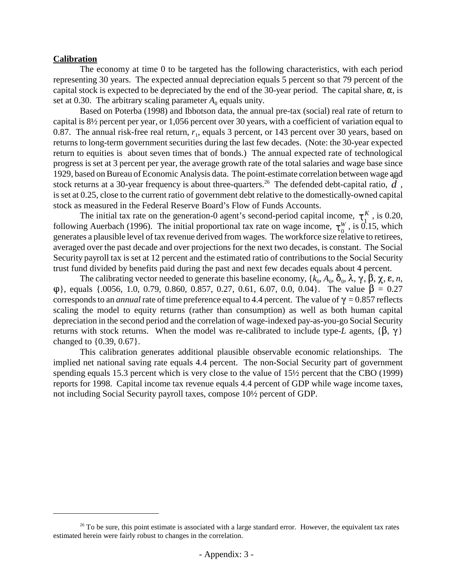## **Calibration**

The economy at time 0 to be targeted has the following characteristics, with each period representing 30 years. The expected annual depreciation equals 5 percent so that 79 percent of the capital stock is expected to be depreciated by the end of the 30-year period. The capital share,  $\alpha$ , is set at 0.30. The arbitrary scaling parameter  $A_0$  equals unity.

Based on Poterba (1998) and Ibbotson data, the annual pre-tax (social) real rate of return to capital is 8½ percent per year, or 1,056 percent over 30 years, with a coefficient of variation equal to 0.87. The annual risk-free real return,  $r_1$ , equals 3 percent, or 143 percent over 30 years, based on returns to long-term government securities during the last few decades. (Note: the 30-year expected return to equities is about seven times that of bonds.) The annual expected rate of technological progress is set at 3 percent per year, the average growth rate of the total salaries and wage base since 1929, based on Bureau of Economic Analysis data. The point-estimate correlation between wage and 1929, based on Bureau of Economic Analysis data. The point-estimate correlation between wage and stock returns at a 30-year frequency is about three-quarters.<sup>26</sup> The defended debt-capital ratio,  $\tilde{d}$ , is set at 0.25, close to the current ratio of government debt relative to the domestically-owned capital stock as measured in the Federal Reserve Board's Flow of Funds Accounts.

The initial tax rate on the generation-0 agent's second-period capital income,  $\tau_{\text{A}}^K$ , is 0.20, following Auerbach (1996). The initial proportional tax rate on wage income,  $\tau_0^W$ , is 0.15, which generates a plausible level of tax revenue derived from wages. The workforce size relative to retirees, averaged over the past decade and over projections for the next two decades, is constant. The Social Security payroll tax is set at 12 percent and the estimated ratio of contributions to the Social Security trust fund divided by benefits paid during the past and next few decades equals about 4 percent.

The calibrating vector needed to generate this baseline economy, { $k_0$ ,  $A_0$ ,  $\delta_0$ ,  $\lambda$ ,  $\gamma$ ,  $\beta$ ,  $\chi$ ,  $\varepsilon$ ,  $n$ ,  $\varphi$ }, equals {.0056, 1.0, 0.79, 0.860, 0.857, 0.27, 0.61, 6.07, 0.0, 0.04}. The value  $\beta = 0.27$ corresponds to an *annual* rate of time preference equal to 4.4 percent. The value of  $\gamma = 0.857$  reflects scaling the model to equity returns (rather than consumption) as well as both human capital depreciation in the second period and the correlation of wage-indexed pay-as-you-go Social Security returns with stock returns. When the model was re-calibrated to include type-*L* agents,  $\{\beta, \gamma\}$ changed to {0.39, 0.67}.

This calibration generates additional plausible observable economic relationships. The implied net national saving rate equals 4.4 percent. The non-Social Security part of government spending equals 15.3 percent which is very close to the value of 15½ percent that the CBO (1999) reports for 1998. Capital income tax revenue equals 4.4 percent of GDP while wage income taxes, not including Social Security payroll taxes, compose 10½ percent of GDP.

 $26$  To be sure, this point estimate is associated with a large standard error. However, the equivalent tax rates estimated herein were fairly robust to changes in the correlation.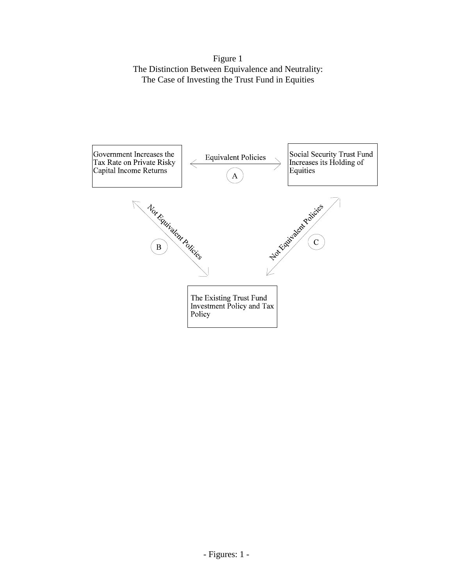Figure 1 The Distinction Between Equivalence and Neutrality: The Case of Investing the Trust Fund in Equities

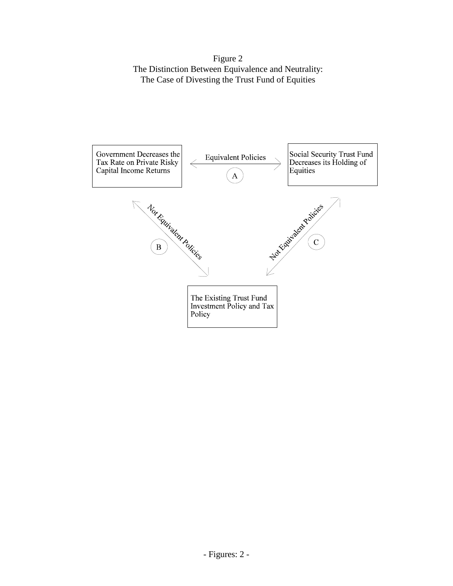Figure 2 The Distinction Between Equivalence and Neutrality: The Case of Divesting the Trust Fund of Equities

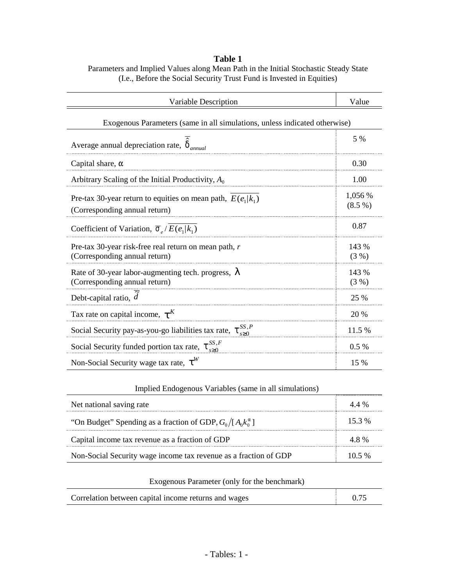# **Table 1** Parameters and Implied Values along Mean Path in the Initial Stochastic Steady State (I.e., Before the Social Security Trust Fund is Invested in Equities)

| Variable Description                                                                           | Value              |  |  |  |  |
|------------------------------------------------------------------------------------------------|--------------------|--|--|--|--|
| Exogenous Parameters (same in all simulations, unless indicated otherwise)                     |                    |  |  |  |  |
| Average annual depreciation rate, $\hat{\delta}_{annual}$                                      |                    |  |  |  |  |
| Capital share, $\alpha$                                                                        | 0.30               |  |  |  |  |
| Arbitrary Scaling of the Initial Productivity, $A_0$                                           | 1.00               |  |  |  |  |
| Pre-tax 30-year return to equities on mean path, $E(e_1 k_1)$<br>(Corresponding annual return) | 1,056 %<br>(8.5 %) |  |  |  |  |
| Coefficient of Variation, $\overline{\sigma}_{e}/E(e_1 k_1)$                                   | 0.87               |  |  |  |  |
| Pre-tax 30-year risk-free real return on mean path, r<br>(Corresponding annual return)         | 143 %<br>(3%)      |  |  |  |  |
| Rate of 30-year labor-augmenting tech. progress, $\lambda$<br>(Corresponding annual return)    | 143 %<br>(3 %)     |  |  |  |  |
| Debt-capital ratio, $\tilde{d}$                                                                | 25 %               |  |  |  |  |
| Tax rate on capital income, $\tau^K$                                                           | 20 %               |  |  |  |  |
| Social Security pay-as-you-go liabilities tax rate, $\tau_{\infty}^{SS,P}$                     | 11.5 %             |  |  |  |  |
| Social Security funded portion tax rate, $\tau_{s\geq 0}^{SS,F}$                               | 0.5%               |  |  |  |  |
| Non-Social Security wage tax rate, $\tau^W$                                                    | 15 %               |  |  |  |  |

# Implied Endogenous Variables (same in all simulations)

| Net national saving rate                                           | 44%      |
|--------------------------------------------------------------------|----------|
| "On Budget" Spending as a fraction of GDP, $G_0/[A_0k_0^{\alpha}]$ | $15.3\%$ |
| Capital income tax revenue as a fraction of GDP                    | 48%      |
| Non-Social Security wage income tax revenue as a fraction of GDP   | $105\%$  |

# Exogenous Parameter (only for the benchmark)

| Correlation between capital income returns and wages | 0.75 |
|------------------------------------------------------|------|